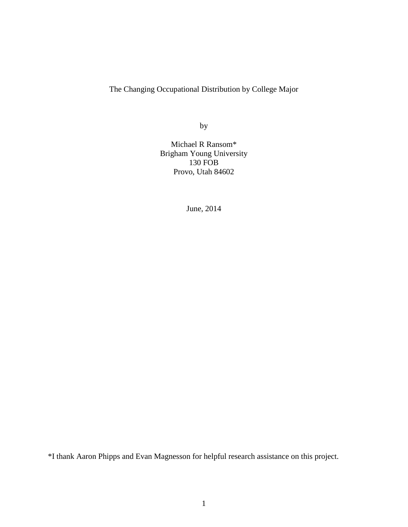The Changing Occupational Distribution by College Major

by

Michael R Ransom\* Brigham Young University 130 FOB Provo, Utah 84602

June, 2014

\*I thank Aaron Phipps and Evan Magnesson for helpful research assistance on this project.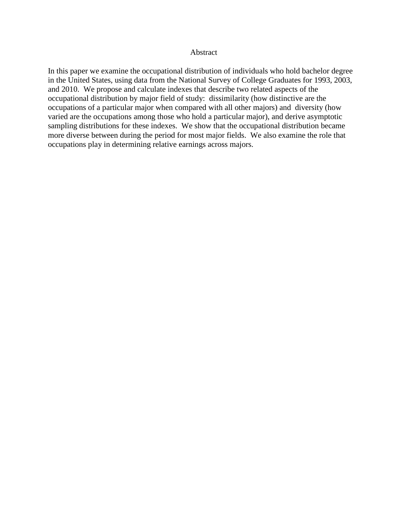## Abstract

In this paper we examine the occupational distribution of individuals who hold bachelor degree in the United States, using data from the National Survey of College Graduates for 1993, 2003, and 2010. We propose and calculate indexes that describe two related aspects of the occupational distribution by major field of study: dissimilarity (how distinctive are the occupations of a particular major when compared with all other majors) and diversity (how varied are the occupations among those who hold a particular major), and derive asymptotic sampling distributions for these indexes. We show that the occupational distribution became more diverse between during the period for most major fields. We also examine the role that occupations play in determining relative earnings across majors.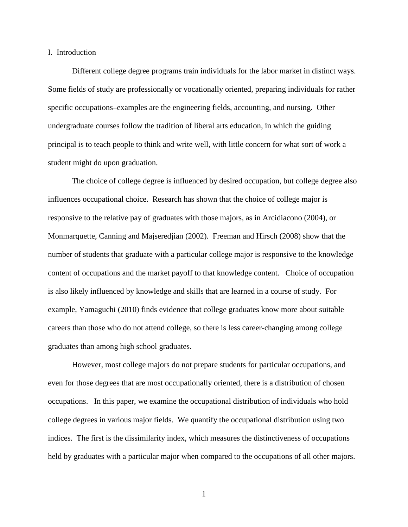#### I. Introduction

Different college degree programs train individuals for the labor market in distinct ways. Some fields of study are professionally or vocationally oriented, preparing individuals for rather specific occupations–examples are the engineering fields, accounting, and nursing. Other undergraduate courses follow the tradition of liberal arts education, in which the guiding principal is to teach people to think and write well, with little concern for what sort of work a student might do upon graduation.

The choice of college degree is influenced by desired occupation, but college degree also influences occupational choice. Research has shown that the choice of college major is responsive to the relative pay of graduates with those majors, as in Arcidiacono (2004), or Monmarquette, Canning and Majseredjian (2002). Freeman and Hirsch (2008) show that the number of students that graduate with a particular college major is responsive to the knowledge content of occupations and the market payoff to that knowledge content. Choice of occupation is also likely influenced by knowledge and skills that are learned in a course of study. For example, Yamaguchi (2010) finds evidence that college graduates know more about suitable careers than those who do not attend college, so there is less career-changing among college graduates than among high school graduates.

However, most college majors do not prepare students for particular occupations, and even for those degrees that are most occupationally oriented, there is a distribution of chosen occupations. In this paper, we examine the occupational distribution of individuals who hold college degrees in various major fields. We quantify the occupational distribution using two indices. The first is the dissimilarity index, which measures the distinctiveness of occupations held by graduates with a particular major when compared to the occupations of all other majors.

1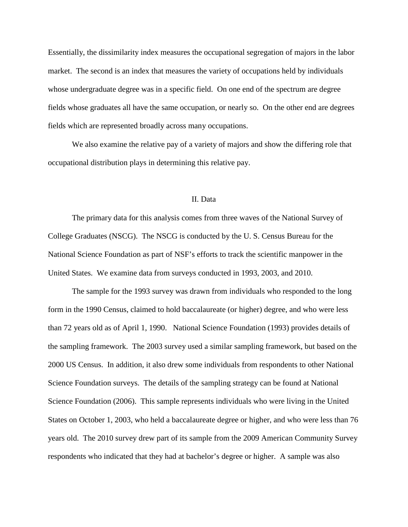Essentially, the dissimilarity index measures the occupational segregation of majors in the labor market. The second is an index that measures the variety of occupations held by individuals whose undergraduate degree was in a specific field. On one end of the spectrum are degree fields whose graduates all have the same occupation, or nearly so. On the other end are degrees fields which are represented broadly across many occupations.

We also examine the relative pay of a variety of majors and show the differing role that occupational distribution plays in determining this relative pay.

# II. Data

The primary data for this analysis comes from three waves of the National Survey of College Graduates (NSCG). The NSCG is conducted by the U. S. Census Bureau for the National Science Foundation as part of NSF's efforts to track the scientific manpower in the United States. We examine data from surveys conducted in 1993, 2003, and 2010.

The sample for the 1993 survey was drawn from individuals who responded to the long form in the 1990 Census, claimed to hold baccalaureate (or higher) degree, and who were less than 72 years old as of April 1, 1990. National Science Foundation (1993) provides details of the sampling framework. The 2003 survey used a similar sampling framework, but based on the 2000 US Census. In addition, it also drew some individuals from respondents to other National Science Foundation surveys. The details of the sampling strategy can be found at National Science Foundation (2006). This sample represents individuals who were living in the United States on October 1, 2003, who held a baccalaureate degree or higher, and who were less than 76 years old. The 2010 survey drew part of its sample from the 2009 American Community Survey respondents who indicated that they had at bachelor's degree or higher. A sample was also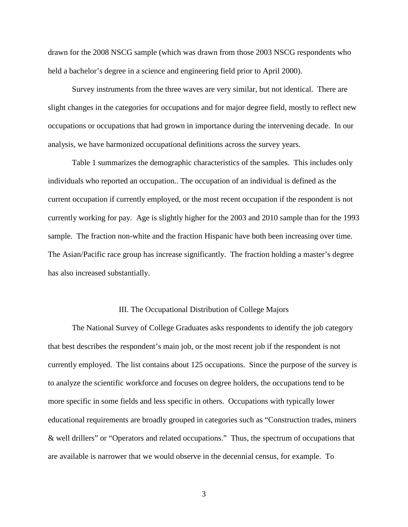drawn for the 2008 NSCG sample (which was drawn from those 2003 NSCG respondents who held a bachelor's degree in a science and engineering field prior to April 2000).

Survey instruments from the three waves are very similar, but not identical. There are slight changes in the categories for occupations and for major degree field, mostly to reflect new occupations or occupations that had grown in importance during the intervening decade. In our analysis, we have harmonized occupational definitions across the survey years.

Table 1 summarizes the demographic characteristics of the samples. This includes only individuals who reported an occupation.. The occupation of an individual is defined as the current occupation if currently employed, or the most recent occupation if the respondent is not currently working for pay. Age is slightly higher for the 2003 and 2010 sample than for the 1993 sample. The fraction non-white and the fraction Hispanic have both been increasing over time. The Asian/Pacific race group has increase significantly. The fraction holding a master's degree has also increased substantially.

## III. The Occupational Distribution of College Majors

The National Survey of College Graduates asks respondents to identify the job category that best describes the respondent's main job, or the most recent job if the respondent is not currently employed. The list contains about 125 occupations. Since the purpose of the survey is to analyze the scientific workforce and focuses on degree holders, the occupations tend to be more specific in some fields and less specific in others. Occupations with typically lower educational requirements are broadly grouped in categories such as "Construction trades, miners & well drillers" or "Operators and related occupations." Thus, the spectrum of occupations that are available is narrower that we would observe in the decennial census, for example. To

3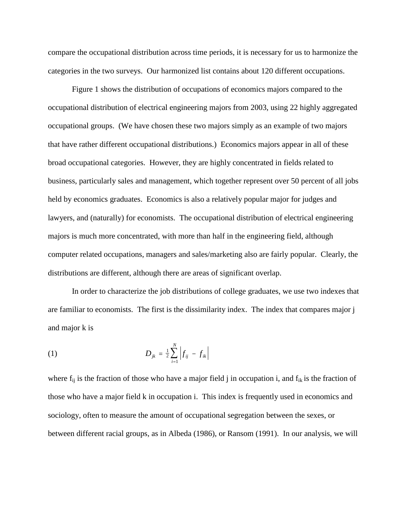compare the occupational distribution across time periods, it is necessary for us to harmonize the categories in the two surveys. Our harmonized list contains about 120 different occupations.

Figure 1 shows the distribution of occupations of economics majors compared to the occupational distribution of electrical engineering majors from 2003, using 22 highly aggregated occupational groups. (We have chosen these two majors simply as an example of two majors that have rather different occupational distributions.) Economics majors appear in all of these broad occupational categories. However, they are highly concentrated in fields related to business, particularly sales and management, which together represent over 50 percent of all jobs held by economics graduates. Economics is also a relatively popular major for judges and lawyers, and (naturally) for economists. The occupational distribution of electrical engineering majors is much more concentrated, with more than half in the engineering field, although computer related occupations, managers and sales/marketing also are fairly popular. Clearly, the distributions are different, although there are areas of significant overlap.

In order to characterize the job distributions of college graduates, we use two indexes that are familiar to economists. The first is the dissimilarity index. The index that compares major j and major k is

(1) 
$$
D_{jk} = \frac{1}{2} \sum_{i=1}^{N} \left| f_{ij} - f_{ik} \right|
$$

where  $f_{ij}$  is the fraction of those who have a major field j in occupation i, and  $f_{ik}$  is the fraction of those who have a major field k in occupation i. This index is frequently used in economics and sociology, often to measure the amount of occupational segregation between the sexes, or between different racial groups, as in Albeda (1986), or Ransom (1991). In our analysis, we will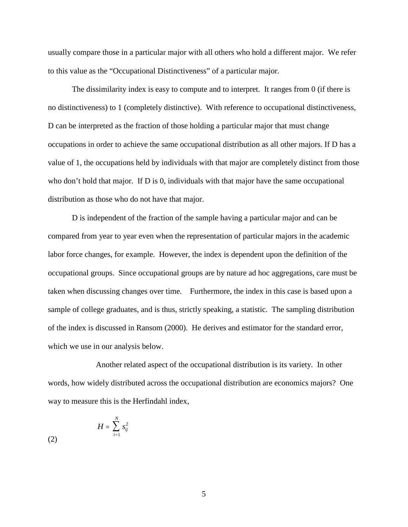usually compare those in a particular major with all others who hold a different major. We refer to this value as the "Occupational Distinctiveness" of a particular major.

The dissimilarity index is easy to compute and to interpret. It ranges from 0 (if there is no distinctiveness) to 1 (completely distinctive). With reference to occupational distinctiveness, D can be interpreted as the fraction of those holding a particular major that must change occupations in order to achieve the same occupational distribution as all other majors. If D has a value of 1, the occupations held by individuals with that major are completely distinct from those who don't hold that major. If D is 0, individuals with that major have the same occupational distribution as those who do not have that major.

D is independent of the fraction of the sample having a particular major and can be compared from year to year even when the representation of particular majors in the academic labor force changes, for example. However, the index is dependent upon the definition of the occupational groups. Since occupational groups are by nature ad hoc aggregations, care must be taken when discussing changes over time. Furthermore, the index in this case is based upon a sample of college graduates, and is thus, strictly speaking, a statistic. The sampling distribution of the index is discussed in Ransom (2000). He derives and estimator for the standard error, which we use in our analysis below.

Another related aspect of the occupational distribution is its variety. In other words, how widely distributed across the occupational distribution are economics majors? One way to measure this is the Herfindahl index,

$$
H = \sum_{i=1}^{N} s_{ij}^2
$$

5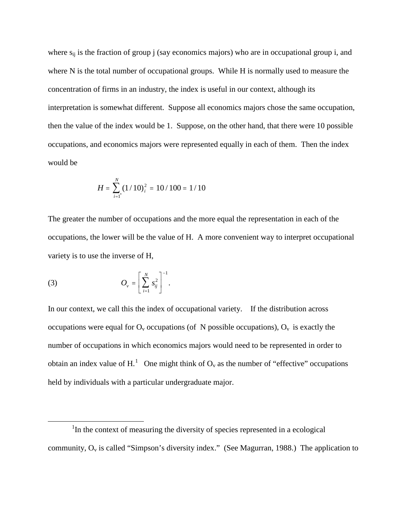where  $s_{ii}$  is the fraction of group j (say economics majors) who are in occupational group i, and where N is the total number of occupational groups. While H is normally used to measure the concentration of firms in an industry, the index is useful in our context, although its interpretation is somewhat different. Suppose all economics majors chose the same occupation, then the value of the index would be 1. Suppose, on the other hand, that there were 10 possible occupations, and economics majors were represented equally in each of them. Then the index would be

$$
H = \sum_{i=1}^{N} (1/10)^2 = 10/100 = 1/10
$$

The greater the number of occupations and the more equal the representation in each of the occupations, the lower will be the value of H. A more convenient way to interpret occupational variety is to use the inverse of H,

(3) 
$$
O_{v} = \left[\sum_{i=1}^{N} s_{ij}^{2}\right]^{-1}.
$$

In our context, we call this the index of occupational variety. If the distribution across occupations were equal for  $O_v$  occupations (of N possible occupations),  $O_v$  is exactly the number of occupations in which economics majors would need to be represented in order to obtain an index value of H.<sup>[1](#page-7-0)</sup> One might think of  $O_v$  as the number of "effective" occupations held by individuals with a particular undergraduate major.

<span id="page-7-0"></span><sup>1&</sup>lt;sup>1</sup>  $1$ In the context of measuring the diversity of species represented in a ecological community,  $O_v$  is called "Simpson's diversity index." (See Magurran, 1988.) The application to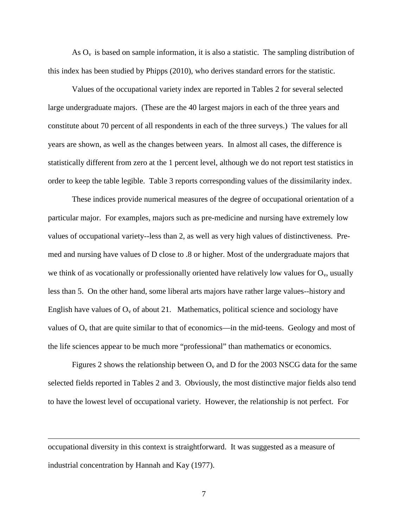As  $O<sub>v</sub>$  is based on sample information, it is also a statistic. The sampling distribution of this index has been studied by Phipps (2010), who derives standard errors for the statistic.

Values of the occupational variety index are reported in Tables 2 for several selected large undergraduate majors. (These are the 40 largest majors in each of the three years and constitute about 70 percent of all respondents in each of the three surveys.) The values for all years are shown, as well as the changes between years. In almost all cases, the difference is statistically different from zero at the 1 percent level, although we do not report test statistics in order to keep the table legible. Table 3 reports corresponding values of the dissimilarity index.

These indices provide numerical measures of the degree of occupational orientation of a particular major. For examples, majors such as pre-medicine and nursing have extremely low values of occupational variety--less than 2, as well as very high values of distinctiveness. Premed and nursing have values of D close to .8 or higher. Most of the undergraduate majors that we think of as vocationally or professionally oriented have relatively low values for  $O_y$ , usually less than 5. On the other hand, some liberal arts majors have rather large values--history and English have values of  $O_v$  of about 21. Mathematics, political science and sociology have values of  $O_v$  that are quite similar to that of economics—in the mid-teens. Geology and most of the life sciences appear to be much more "professional" than mathematics or economics.

Figures 2 shows the relationship between  $O_v$  and D for the 2003 NSCG data for the same selected fields reported in Tables 2 and 3. Obviously, the most distinctive major fields also tend to have the lowest level of occupational variety. However, the relationship is not perfect. For

occupational diversity in this context is straightforward. It was suggested as a measure of industrial concentration by Hannah and Kay (1977).

 $\overline{a}$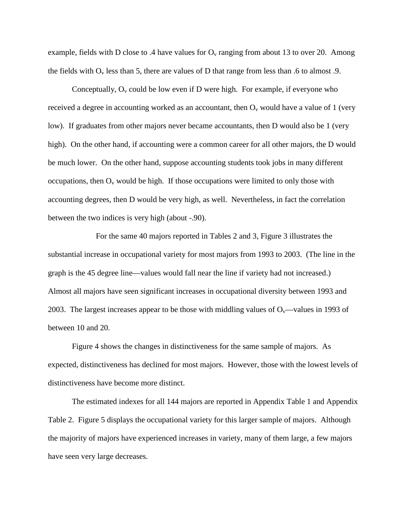example, fields with D close to .4 have values for  $O_v$  ranging from about 13 to over 20. Among the fields with  $O_v$  less than 5, there are values of D that range from less than .6 to almost .9.

Conceptually,  $O_v$  could be low even if D were high. For example, if everyone who received a degree in accounting worked as an accountant, then  $O_v$  would have a value of 1 (very low). If graduates from other majors never became accountants, then D would also be 1 (very high). On the other hand, if accounting were a common career for all other majors, the D would be much lower. On the other hand, suppose accounting students took jobs in many different occupations, then  $O_v$  would be high. If those occupations were limited to only those with accounting degrees, then D would be very high, as well. Nevertheless, in fact the correlation between the two indices is very high (about -.90).

For the same 40 majors reported in Tables 2 and 3, Figure 3 illustrates the substantial increase in occupational variety for most majors from 1993 to 2003. (The line in the graph is the 45 degree line—values would fall near the line if variety had not increased.) Almost all majors have seen significant increases in occupational diversity between 1993 and 2003. The largest increases appear to be those with middling values of  $O_v$ —values in 1993 of between 10 and 20.

Figure 4 shows the changes in distinctiveness for the same sample of majors. As expected, distinctiveness has declined for most majors. However, those with the lowest levels of distinctiveness have become more distinct.

The estimated indexes for all 144 majors are reported in Appendix Table 1 and Appendix Table 2. Figure 5 displays the occupational variety for this larger sample of majors. Although the majority of majors have experienced increases in variety, many of them large, a few majors have seen very large decreases.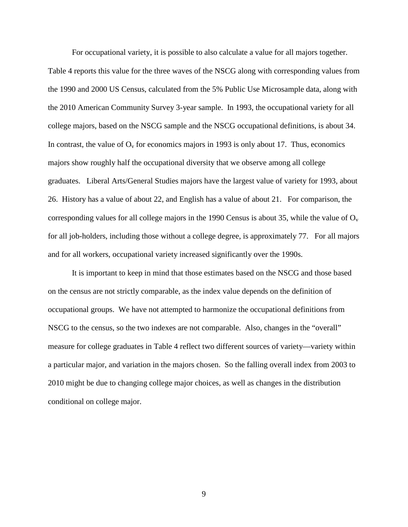For occupational variety, it is possible to also calculate a value for all majors together. Table 4 reports this value for the three waves of the NSCG along with corresponding values from the 1990 and 2000 US Census, calculated from the 5% Public Use Microsample data, along with the 2010 American Community Survey 3-year sample. In 1993, the occupational variety for all college majors, based on the NSCG sample and the NSCG occupational definitions, is about 34. In contrast, the value of  $O_v$  for economics majors in 1993 is only about 17. Thus, economics majors show roughly half the occupational diversity that we observe among all college graduates. Liberal Arts/General Studies majors have the largest value of variety for 1993, about 26. History has a value of about 22, and English has a value of about 21. For comparison, the corresponding values for all college majors in the 1990 Census is about 35, while the value of  $O_v$ for all job-holders, including those without a college degree, is approximately 77. For all majors and for all workers, occupational variety increased significantly over the 1990s.

It is important to keep in mind that those estimates based on the NSCG and those based on the census are not strictly comparable, as the index value depends on the definition of occupational groups. We have not attempted to harmonize the occupational definitions from NSCG to the census, so the two indexes are not comparable. Also, changes in the "overall" measure for college graduates in Table 4 reflect two different sources of variety—variety within a particular major, and variation in the majors chosen. So the falling overall index from 2003 to 2010 might be due to changing college major choices, as well as changes in the distribution conditional on college major.

9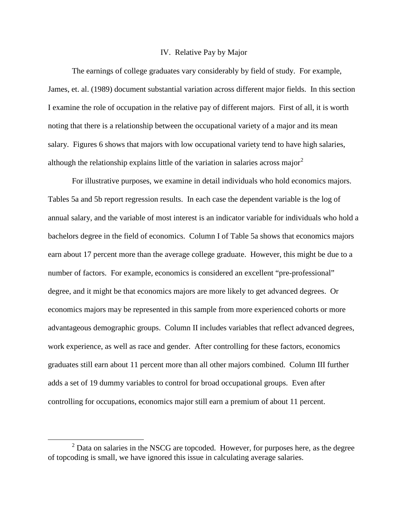### IV. Relative Pay by Major

The earnings of college graduates vary considerably by field of study. For example, James, et. al. (1989) document substantial variation across different major fields. In this section I examine the role of occupation in the relative pay of different majors. First of all, it is worth noting that there is a relationship between the occupational variety of a major and its mean salary. Figures 6 shows that majors with low occupational variety tend to have high salaries, although the relationship explains little of the variation in salaries across major<sup>[2](#page-11-0)</sup>

For illustrative purposes, we examine in detail individuals who hold economics majors. Tables 5a and 5b report regression results. In each case the dependent variable is the log of annual salary, and the variable of most interest is an indicator variable for individuals who hold a bachelors degree in the field of economics. Column I of Table 5a shows that economics majors earn about 17 percent more than the average college graduate. However, this might be due to a number of factors. For example, economics is considered an excellent "pre-professional" degree, and it might be that economics majors are more likely to get advanced degrees. Or economics majors may be represented in this sample from more experienced cohorts or more advantageous demographic groups. Column II includes variables that reflect advanced degrees, work experience, as well as race and gender. After controlling for these factors, economics graduates still earn about 11 percent more than all other majors combined. Column III further adds a set of 19 dummy variables to control for broad occupational groups. Even after controlling for occupations, economics major still earn a premium of about 11 percent.

<span id="page-11-0"></span> $2$  Data on salaries in the NSCG are topcoded. However, for purposes here, as the degree of topcoding is small, we have ignored this issue in calculating average salaries.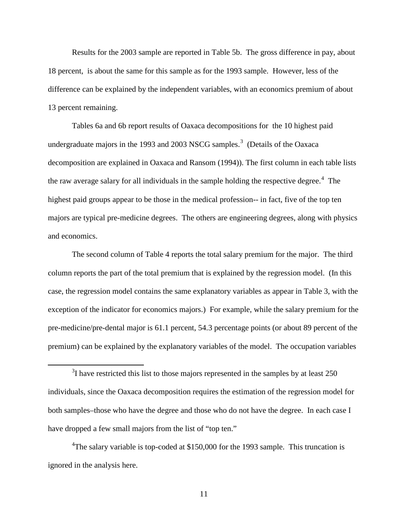Results for the 2003 sample are reported in Table 5b. The gross difference in pay, about 18 percent, is about the same for this sample as for the 1993 sample. However, less of the difference can be explained by the independent variables, with an economics premium of about 13 percent remaining.

Tables 6a and 6b report results of Oaxaca decompositions for the 10 highest paid undergraduate majors in the 199[3](#page-12-0) and 2003 NSCG samples.<sup>3</sup> (Details of the Oaxaca decomposition are explained in Oaxaca and Ransom (1994)). The first column in each table lists the raw average salary for all individuals in the sample holding the respective degree.<sup>[4](#page-12-1)</sup> The highest paid groups appear to be those in the medical profession-- in fact, five of the top ten majors are typical pre-medicine degrees. The others are engineering degrees, along with physics and economics.

The second column of Table 4 reports the total salary premium for the major. The third column reports the part of the total premium that is explained by the regression model. (In this case, the regression model contains the same explanatory variables as appear in Table 3, with the exception of the indicator for economics majors.) For example, while the salary premium for the pre-medicine/pre-dental major is 61.1 percent, 54.3 percentage points (or about 89 percent of the premium) can be explained by the explanatory variables of the model. The occupation variables

<span id="page-12-1"></span><sup>4</sup>The salary variable is top-coded at \$150,000 for the 1993 sample. This truncation is ignored in the analysis here.

<span id="page-12-0"></span> $\frac{1}{3}$  $3$ I have restricted this list to those majors represented in the samples by at least 250 individuals, since the Oaxaca decomposition requires the estimation of the regression model for both samples–those who have the degree and those who do not have the degree. In each case I have dropped a few small majors from the list of "top ten."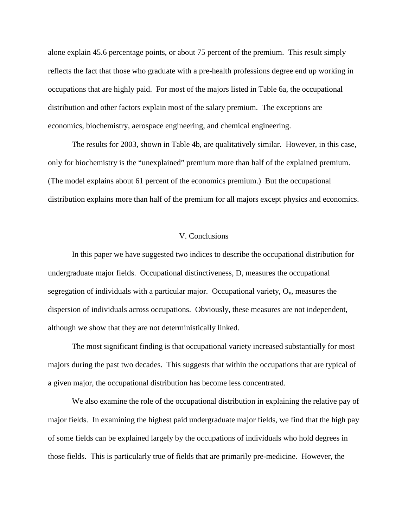alone explain 45.6 percentage points, or about 75 percent of the premium. This result simply reflects the fact that those who graduate with a pre-health professions degree end up working in occupations that are highly paid. For most of the majors listed in Table 6a, the occupational distribution and other factors explain most of the salary premium. The exceptions are economics, biochemistry, aerospace engineering, and chemical engineering.

The results for 2003, shown in Table 4b, are qualitatively similar. However, in this case, only for biochemistry is the "unexplained" premium more than half of the explained premium. (The model explains about 61 percent of the economics premium.) But the occupational distribution explains more than half of the premium for all majors except physics and economics.

# V. Conclusions

In this paper we have suggested two indices to describe the occupational distribution for undergraduate major fields. Occupational distinctiveness, D, measures the occupational segregation of individuals with a particular major. Occupational variety,  $O_v$ , measures the dispersion of individuals across occupations. Obviously, these measures are not independent, although we show that they are not deterministically linked.

The most significant finding is that occupational variety increased substantially for most majors during the past two decades. This suggests that within the occupations that are typical of a given major, the occupational distribution has become less concentrated.

We also examine the role of the occupational distribution in explaining the relative pay of major fields. In examining the highest paid undergraduate major fields, we find that the high pay of some fields can be explained largely by the occupations of individuals who hold degrees in those fields. This is particularly true of fields that are primarily pre-medicine. However, the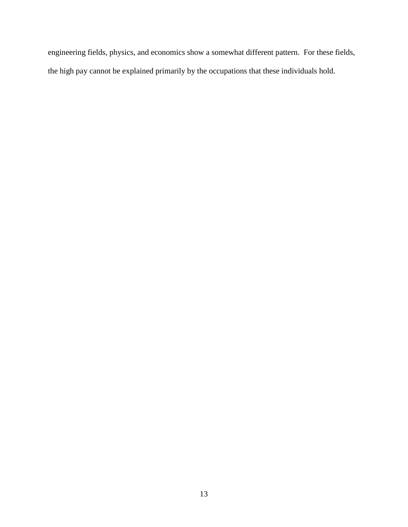engineering fields, physics, and economics show a somewhat different pattern. For these fields, the high pay cannot be explained primarily by the occupations that these individuals hold.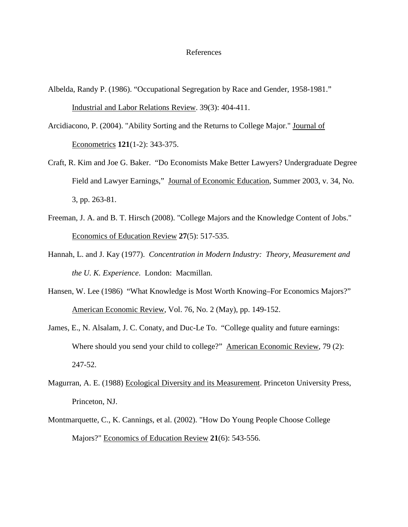#### References

- Albelda, Randy P. (1986). "Occupational Segregation by Race and Gender, 1958-1981." Industrial and Labor Relations Review. 39(3): 404-411.
- Arcidiacono, P. (2004). "Ability Sorting and the Returns to College Major." Journal of Econometrics **121**(1-2): 343-375.
- Craft, R. Kim and Joe G. Baker. "Do Economists Make Better Lawyers? Undergraduate Degree Field and Lawyer Earnings," Journal of Economic Education, Summer 2003, v. 34, No. 3, pp. 263-81.
- Freeman, J. A. and B. T. Hirsch (2008). "College Majors and the Knowledge Content of Jobs." Economics of Education Review **27**(5): 517-535.
- Hannah, L. and J. Kay (1977). *Concentration in Modern Industry: Theory, Measurement and the U. K. Experience*. London: Macmillan.
- Hansen, W. Lee (1986) "What Knowledge is Most Worth Knowing–For Economics Majors?" American Economic Review, Vol. 76, No. 2 (May), pp. 149-152.
- James, E., N. Alsalam, J. C. Conaty, and Duc-Le To. "College quality and future earnings: Where should you send your child to college?" American Economic Review, 79 (2): 247-52.
- Magurran, A. E. (1988) Ecological Diversity and its Measurement. Princeton University Press, Princeton, NJ.
- Montmarquette, C., K. Cannings, et al. (2002). "How Do Young People Choose College Majors?" Economics of Education Review **21**(6): 543-556.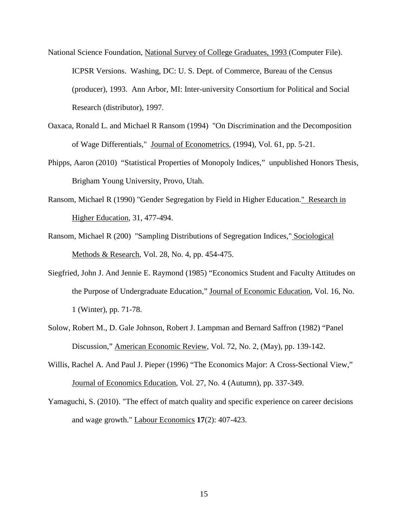National Science Foundation, National Survey of College Graduates, 1993 (Computer File). ICPSR Versions. Washing, DC: U. S. Dept. of Commerce, Bureau of the Census (producer), 1993. Ann Arbor, MI: Inter-university Consortium for Political and Social Research (distributor), 1997.

- Oaxaca, Ronald L. and Michael R Ransom (1994) "On Discrimination and the Decomposition of Wage Differentials," Journal of Econometrics, (1994), Vol. 61, pp. 5-21.
- Phipps, Aaron (2010) "Statistical Properties of Monopoly Indices," unpublished Honors Thesis, Brigham Young University, Provo, Utah.
- Ransom, Michael R (1990) "Gender Segregation by Field in Higher Education." Research in Higher Education, 31, 477-494.
- Ransom, Michael R (200) "Sampling Distributions of Segregation Indices," Sociological Methods & Research, Vol. 28, No. 4, pp. 454-475.
- Siegfried, John J. And Jennie E. Raymond (1985) "Economics Student and Faculty Attitudes on the Purpose of Undergraduate Education," Journal of Economic Education, Vol. 16, No. 1 (Winter), pp. 71-78.
- Solow, Robert M., D. Gale Johnson, Robert J. Lampman and Bernard Saffron (1982) "Panel Discussion," American Economic Review, Vol. 72, No. 2, (May), pp. 139-142.
- Willis, Rachel A. And Paul J. Pieper (1996) "The Economics Major: A Cross-Sectional View," Journal of Economics Education, Vol. 27, No. 4 (Autumn), pp. 337-349.
- Yamaguchi, S. (2010). "The effect of match quality and specific experience on career decisions and wage growth." Labour Economics **17**(2): 407-423.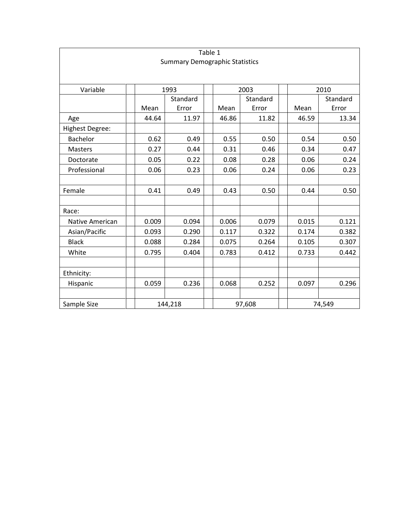| Table 1<br><b>Summary Demographic Statistics</b> |                      |          |  |       |          |  |       |          |  |  |  |
|--------------------------------------------------|----------------------|----------|--|-------|----------|--|-------|----------|--|--|--|
|                                                  |                      |          |  |       |          |  |       |          |  |  |  |
| Variable                                         | 2003<br>1993<br>2010 |          |  |       |          |  |       |          |  |  |  |
|                                                  |                      | Standard |  |       | Standard |  |       | Standard |  |  |  |
|                                                  | Mean                 | Error    |  | Mean  | Error    |  | Mean  | Error    |  |  |  |
| Age                                              | 44.64                | 11.97    |  | 46.86 | 11.82    |  | 46.59 | 13.34    |  |  |  |
| Highest Degree:                                  |                      |          |  |       |          |  |       |          |  |  |  |
| Bachelor                                         | 0.62                 | 0.49     |  | 0.55  | 0.50     |  | 0.54  | 0.50     |  |  |  |
| <b>Masters</b>                                   | 0.27                 | 0.44     |  | 0.31  | 0.46     |  | 0.34  | 0.47     |  |  |  |
| Doctorate                                        | 0.05                 | 0.22     |  | 0.08  | 0.28     |  | 0.06  | 0.24     |  |  |  |
| Professional                                     | 0.06                 | 0.23     |  | 0.06  | 0.24     |  | 0.06  | 0.23     |  |  |  |
|                                                  |                      |          |  |       |          |  |       |          |  |  |  |
| Female                                           | 0.41                 | 0.49     |  | 0.43  | 0.50     |  | 0.44  | 0.50     |  |  |  |
|                                                  |                      |          |  |       |          |  |       |          |  |  |  |
| Race:                                            |                      |          |  |       |          |  |       |          |  |  |  |
| Native American                                  | 0.009                | 0.094    |  | 0.006 | 0.079    |  | 0.015 | 0.121    |  |  |  |
| Asian/Pacific                                    | 0.093                | 0.290    |  | 0.117 | 0.322    |  | 0.174 | 0.382    |  |  |  |
| <b>Black</b>                                     | 0.088                | 0.284    |  | 0.075 | 0.264    |  | 0.105 | 0.307    |  |  |  |
| White                                            | 0.795                | 0.404    |  | 0.783 | 0.412    |  | 0.733 | 0.442    |  |  |  |
|                                                  |                      |          |  |       |          |  |       |          |  |  |  |
| Ethnicity:                                       |                      |          |  |       |          |  |       |          |  |  |  |
| Hispanic                                         | 0.059                | 0.236    |  | 0.068 | 0.252    |  | 0.097 | 0.296    |  |  |  |
|                                                  |                      |          |  |       |          |  |       |          |  |  |  |
| Sample Size                                      |                      | 144,218  |  |       | 97,608   |  |       | 74,549   |  |  |  |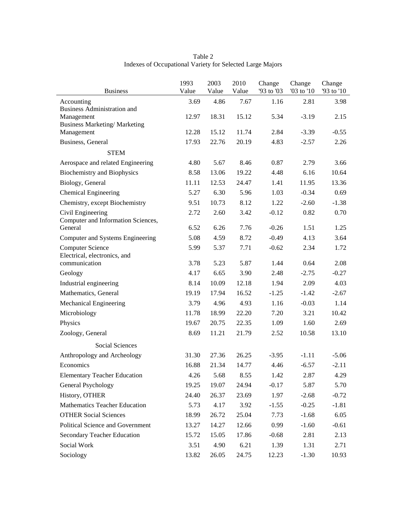| <b>Business</b>                                         | 1993<br>Value | 2003<br>Value | 2010<br>Value | Change<br>'93 to '03 | Change<br>'03 to '10 | Change<br>'93 to '10 |
|---------------------------------------------------------|---------------|---------------|---------------|----------------------|----------------------|----------------------|
| Accounting                                              | 3.69          | 4.86          | 7.67          | 1.16                 | 2.81                 | 3.98                 |
| <b>Business Administration and</b>                      |               |               |               |                      |                      |                      |
| Management<br><b>Business Marketing/ Marketing</b>      | 12.97         | 18.31         | 15.12         | 5.34                 | $-3.19$              | 2.15                 |
| Management                                              | 12.28         | 15.12         | 11.74         | 2.84                 | $-3.39$              | $-0.55$              |
| Business, General                                       | 17.93         | 22.76         | 20.19         | 4.83                 | $-2.57$              | 2.26                 |
| <b>STEM</b>                                             |               |               |               |                      |                      |                      |
| Aerospace and related Engineering                       | 4.80          | 5.67          | 8.46          | 0.87                 | 2.79                 | 3.66                 |
| <b>Biochemistry and Biophysics</b>                      | 8.58          | 13.06         | 19.22         | 4.48                 | 6.16                 | 10.64                |
| Biology, General                                        | 11.11         | 12.53         | 24.47         | 1.41                 | 11.95                | 13.36                |
| <b>Chemical Engineering</b>                             | 5.27          | 6.30          | 5.96          | 1.03                 | $-0.34$              | 0.69                 |
| Chemistry, except Biochemistry                          | 9.51          | 10.73         | 8.12          | 1.22                 | $-2.60$              | $-1.38$              |
| Civil Engineering                                       | 2.72          | 2.60          | 3.42          | $-0.12$              | 0.82                 | 0.70                 |
| Computer and Information Sciences,                      |               |               |               |                      |                      |                      |
| General                                                 | 6.52          | 6.26          | 7.76          | $-0.26$              | 1.51                 | 1.25                 |
| Computer and Systems Engineering                        | 5.08          | 4.59          | 8.72          | $-0.49$              | 4.13                 | 3.64                 |
| <b>Computer Science</b><br>Electrical, electronics, and | 5.99          | 5.37          | 7.71          | $-0.62$              | 2.34                 | 1.72                 |
| communication                                           | 3.78          | 5.23          | 5.87          | 1.44                 | 0.64                 | 2.08                 |
| Geology                                                 | 4.17          | 6.65          | 3.90          | 2.48                 | $-2.75$              | $-0.27$              |
| Industrial engineering                                  | 8.14          | 10.09         | 12.18         | 1.94                 | 2.09                 | 4.03                 |
| Mathematics, General                                    | 19.19         | 17.94         | 16.52         | $-1.25$              | $-1.42$              | $-2.67$              |
| Mechanical Engineering                                  | 3.79          | 4.96          | 4.93          | 1.16                 | $-0.03$              | 1.14                 |
| Microbiology                                            | 11.78         | 18.99         | 22.20         | 7.20                 | 3.21                 | 10.42                |
| Physics                                                 | 19.67         | 20.75         | 22.35         | 1.09                 | 1.60                 | 2.69                 |
| Zoology, General                                        | 8.69          | 11.21         | 21.79         | 2.52                 | 10.58                | 13.10                |
| Social Sciences                                         |               |               |               |                      |                      |                      |
| Anthropology and Archeology                             | 31.30         | 27.36         | 26.25         | $-3.95$              | $-1.11$              | $-5.06$              |
| Economics                                               | 16.88         | 21.34         | 14.77         | 4.46                 | $-6.57$              | $-2.11$              |
| <b>Elementary Teacher Education</b>                     | 4.26          | 5.68          | 8.55          | 1.42                 | 2.87                 | 4.29                 |
| General Psychology                                      | 19.25         | 19.07         | 24.94         | $-0.17$              | 5.87                 | 5.70                 |
| History, OTHER                                          | 24.40         | 26.37         | 23.69         | 1.97                 | $-2.68$              | $-0.72$              |
| Mathematics Teacher Education                           | 5.73          | 4.17          | 3.92          | $-1.55$              | $-0.25$              | $-1.81$              |
| <b>OTHER Social Sciences</b>                            | 18.99         | 26.72         | 25.04         | 7.73                 | $-1.68$              | 6.05                 |
| Political Science and Government                        | 13.27         | 14.27         | 12.66         | 0.99                 | $-1.60$              | $-0.61$              |
| <b>Secondary Teacher Education</b>                      | 15.72         | 15.05         | 17.86         | $-0.68$              | 2.81                 | 2.13                 |
| Social Work                                             | 3.51          | 4.90          | 6.21          | 1.39                 | 1.31                 | 2.71                 |
| Sociology                                               | 13.82         | 26.05         | 24.75         | 12.23                | $-1.30$              | 10.93                |

Table 2 Indexes of Occupational Variety for Selected Large Majors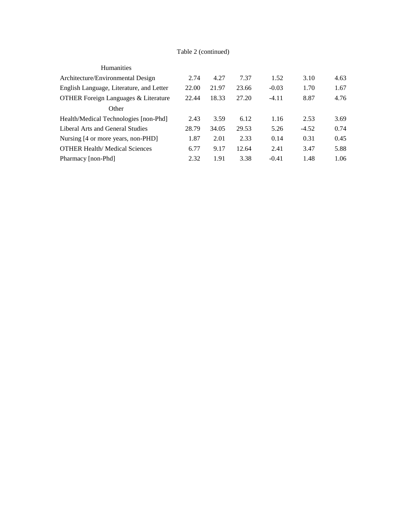# Table 2 (continued)

| <b>Humanities</b>                               |       |       |       |         |         |      |
|-------------------------------------------------|-------|-------|-------|---------|---------|------|
| Architecture/Environmental Design               | 2.74  | 4.27  | 7.37  | 1.52    | 3.10    | 4.63 |
| English Language, Literature, and Letter        | 22.00 | 21.97 | 23.66 | $-0.03$ | 1.70    | 1.67 |
| <b>OTHER Foreign Languages &amp; Literature</b> | 22.44 | 18.33 | 27.20 | $-4.11$ | 8.87    | 4.76 |
| Other                                           |       |       |       |         |         |      |
| Health/Medical Technologies [non-Phd]           | 2.43  | 3.59  | 6.12  | 1.16    | 2.53    | 3.69 |
| Liberal Arts and General Studies                | 28.79 | 34.05 | 29.53 | 5.26    | $-4.52$ | 0.74 |
| Nursing [4 or more years, non-PHD]              | 1.87  | 2.01  | 2.33  | 0.14    | 0.31    | 0.45 |
| <b>OTHER Health/Medical Sciences</b>            | 6.77  | 9.17  | 12.64 | 2.41    | 3.47    | 5.88 |
| Pharmacy [non-Phd]                              | 2.32  | 1.91  | 3.38  | $-0.41$ | 1.48    | 1.06 |
|                                                 |       |       |       |         |         |      |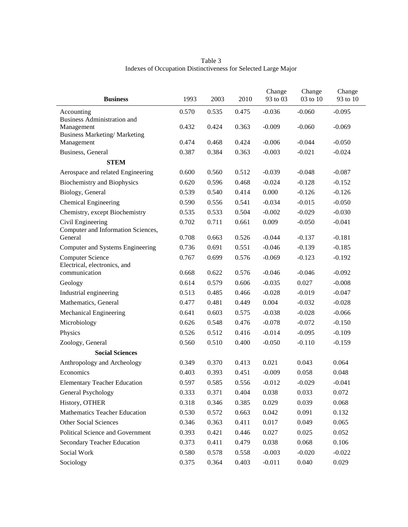| <b>Business</b>                                         | 1993  | 2003  | 2010  | Change<br>93 to 03 | Change<br>03 to 10 | Change<br>93 to 10 |
|---------------------------------------------------------|-------|-------|-------|--------------------|--------------------|--------------------|
| Accounting                                              | 0.570 | 0.535 | 0.475 | $-0.036$           | $-0.060$           | $-0.095$           |
| <b>Business Administration and</b><br>Management        | 0.432 | 0.424 | 0.363 | $-0.009$           | $-0.060$           | $-0.069$           |
| <b>Business Marketing/ Marketing</b><br>Management      | 0.474 | 0.468 | 0.424 | $-0.006$           | $-0.044$           | $-0.050$           |
| Business, General                                       | 0.387 | 0.384 | 0.363 | $-0.003$           | $-0.021$           | $-0.024$           |
| <b>STEM</b>                                             |       |       |       |                    |                    |                    |
| Aerospace and related Engineering                       | 0.600 | 0.560 | 0.512 | $-0.039$           | $-0.048$           | $-0.087$           |
| <b>Biochemistry and Biophysics</b>                      | 0.620 | 0.596 | 0.468 | $-0.024$           | $-0.128$           | $-0.152$           |
| Biology, General                                        | 0.539 | 0.540 | 0.414 | 0.000              | $-0.126$           | $-0.126$           |
| <b>Chemical Engineering</b>                             | 0.590 | 0.556 | 0.541 | $-0.034$           | $-0.015$           | $-0.050$           |
| Chemistry, except Biochemistry                          | 0.535 | 0.533 | 0.504 | $-0.002$           | $-0.029$           | $-0.030$           |
| Civil Engineering<br>Computer and Information Sciences, | 0.702 | 0.711 | 0.661 | 0.009              | $-0.050$           | $-0.041$           |
| General                                                 | 0.708 | 0.663 | 0.526 | $-0.044$           | $-0.137$           | $-0.181$           |
| Computer and Systems Engineering                        | 0.736 | 0.691 | 0.551 | $-0.046$           | $-0.139$           | $-0.185$           |
| <b>Computer Science</b><br>Electrical, electronics, and | 0.767 | 0.699 | 0.576 | $-0.069$           | $-0.123$           | $-0.192$           |
| communication                                           | 0.668 | 0.622 | 0.576 | $-0.046$           | $-0.046$           | $-0.092$           |
| Geology                                                 | 0.614 | 0.579 | 0.606 | $-0.035$           | 0.027              | $-0.008$           |
| Industrial engineering                                  | 0.513 | 0.485 | 0.466 | $-0.028$           | $-0.019$           | $-0.047$           |
| Mathematics, General                                    | 0.477 | 0.481 | 0.449 | 0.004              | $-0.032$           | $-0.028$           |
| Mechanical Engineering                                  | 0.641 | 0.603 | 0.575 | $-0.038$           | $-0.028$           | $-0.066$           |
| Microbiology                                            | 0.626 | 0.548 | 0.476 | $-0.078$           | $-0.072$           | $-0.150$           |
| Physics                                                 | 0.526 | 0.512 | 0.416 | $-0.014$           | $-0.095$           | $-0.109$           |
| Zoology, General                                        | 0.560 | 0.510 | 0.400 | $-0.050$           | $-0.110$           | $-0.159$           |
| <b>Social Sciences</b>                                  |       |       |       |                    |                    |                    |
| Anthropology and Archeology                             | 0.349 | 0.370 | 0.413 | 0.021              | 0.043              | 0.064              |
| Economics                                               | 0.403 | 0.393 | 0.451 | $-0.009$           | 0.058              | 0.048              |
| <b>Elementary Teacher Education</b>                     | 0.597 | 0.585 | 0.556 | $-0.012$           | $-0.029$           | $-0.041$           |
| General Psychology                                      | 0.333 | 0.371 | 0.404 | 0.038              | 0.033              | 0.072              |
| History, OTHER                                          | 0.318 | 0.346 | 0.385 | 0.029              | 0.039              | 0.068              |
| <b>Mathematics Teacher Education</b>                    | 0.530 | 0.572 | 0.663 | 0.042              | 0.091              | 0.132              |
| Other Social Sciences                                   | 0.346 | 0.363 | 0.411 | 0.017              | 0.049              | 0.065              |
| Political Science and Government                        | 0.393 | 0.421 | 0.446 | 0.027              | 0.025              | 0.052              |
| Secondary Teacher Education                             | 0.373 | 0.411 | 0.479 | 0.038              | 0.068              | 0.106              |

Social Work 0.580 0.578 0.558 -0.003 -0.020 -0.022 Sociology 0.375 0.364 0.403 -0.011 0.040 0.029

Table 3 Indexes of Occupation Distinctiveness for Selected Large Major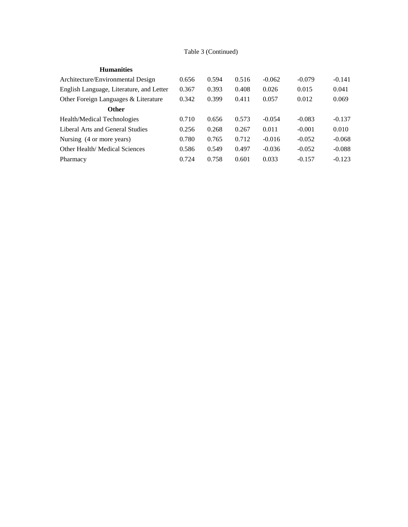# Table 3 (Continued)

| <b>Humanities</b> |
|-------------------|
|-------------------|

| Architecture/Environmental Design        | 0.656 | 0.594 | 0.516 | $-0.062$ | $-0.079$ | $-0.141$ |
|------------------------------------------|-------|-------|-------|----------|----------|----------|
| English Language, Literature, and Letter | 0.367 | 0.393 | 0.408 | 0.026    | 0.015    | 0.041    |
| Other Foreign Languages & Literature     | 0.342 | 0.399 | 0.411 | 0.057    | 0.012    | 0.069    |
| <b>Other</b>                             |       |       |       |          |          |          |
| Health/Medical Technologies              | 0.710 | 0.656 | 0.573 | $-0.054$ | $-0.083$ | $-0.137$ |
| Liberal Arts and General Studies         | 0.256 | 0.268 | 0.267 | 0.011    | $-0.001$ | 0.010    |
| Nursing (4 or more years)                | 0.780 | 0.765 | 0.712 | $-0.016$ | $-0.052$ | $-0.068$ |
| Other Health/ Medical Sciences           | 0.586 | 0.549 | 0.497 | $-0.036$ | $-0.052$ | $-0.088$ |
| Pharmacy                                 | 0.724 | 0.758 | 0.601 | 0.033    | $-0.157$ | $-0.123$ |
|                                          |       |       |       |          |          |          |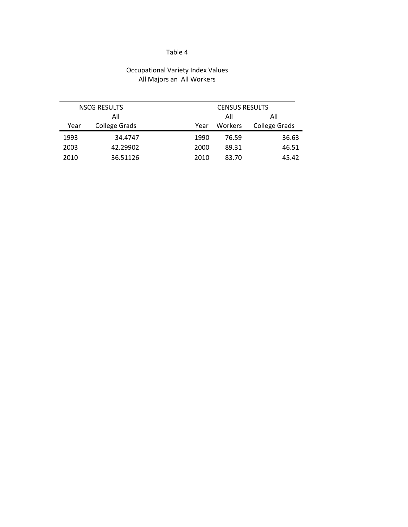# Table 4

# Occupational Variety Index Values All Majors an All Workers

|      | <b>NSCG RESULTS</b>  |      | <b>CENSUS RESULTS</b> |                      |  |
|------|----------------------|------|-----------------------|----------------------|--|
|      | All                  |      | All                   | All                  |  |
| Year | <b>College Grads</b> | Year | Workers               | <b>College Grads</b> |  |
| 1993 | 34.4747              | 1990 | 76.59                 | 36.63                |  |
| 2003 | 42.29902             | 2000 | 89.31                 | 46.51                |  |
| 2010 | 36.51126             | 2010 | 83.70                 | 45.42                |  |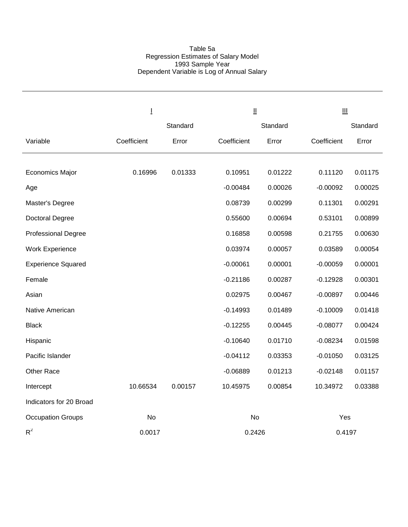## Table 5a Regression Estimates of Salary Model 1993 Sample Year Dependent Variable is Log of Annual Salary

|                            | Ī           |          |             | $\mathbf{\underline{H}}$ |             | $\mathbf{III}$ |  |  |
|----------------------------|-------------|----------|-------------|--------------------------|-------------|----------------|--|--|
|                            |             | Standard |             | Standard                 |             | Standard       |  |  |
| Variable                   | Coefficient | Error    | Coefficient | Error                    | Coefficient | Error          |  |  |
|                            |             |          |             |                          |             |                |  |  |
| <b>Economics Major</b>     | 0.16996     | 0.01333  | 0.10951     | 0.01222                  | 0.11120     | 0.01175        |  |  |
| Age                        |             |          | $-0.00484$  | 0.00026                  | $-0.00092$  | 0.00025        |  |  |
| Master's Degree            |             |          | 0.08739     | 0.00299                  | 0.11301     | 0.00291        |  |  |
| Doctoral Degree            |             |          | 0.55600     | 0.00694                  | 0.53101     | 0.00899        |  |  |
| <b>Professional Degree</b> |             |          | 0.16858     | 0.00598                  | 0.21755     | 0.00630        |  |  |
| <b>Work Experience</b>     |             |          | 0.03974     | 0.00057                  | 0.03589     | 0.00054        |  |  |
| <b>Experience Squared</b>  |             |          | $-0.00061$  | 0.00001                  | $-0.00059$  | 0.00001        |  |  |
| Female                     |             |          | $-0.21186$  | 0.00287                  | $-0.12928$  | 0.00301        |  |  |
| Asian                      |             |          | 0.02975     | 0.00467                  | $-0.00897$  | 0.00446        |  |  |
| Native American            |             |          | $-0.14993$  | 0.01489                  | $-0.10009$  | 0.01418        |  |  |
| <b>Black</b>               |             |          | $-0.12255$  | 0.00445                  | $-0.08077$  | 0.00424        |  |  |
| Hispanic                   |             |          | $-0.10640$  | 0.01710                  | $-0.08234$  | 0.01598        |  |  |
| Pacific Islander           |             |          | $-0.04112$  | 0.03353                  | $-0.01050$  | 0.03125        |  |  |
| Other Race                 |             |          | $-0.06889$  | 0.01213                  | $-0.02148$  | 0.01157        |  |  |
| Intercept                  | 10.66534    | 0.00157  | 10.45975    | 0.00854                  | 10.34972    | 0.03388        |  |  |
| Indicators for 20 Broad    |             |          |             |                          |             |                |  |  |
| <b>Occupation Groups</b>   | No          |          |             | No                       | Yes         |                |  |  |
| $R^2$                      | 0.0017      |          |             | 0.2426                   | 0.4197      |                |  |  |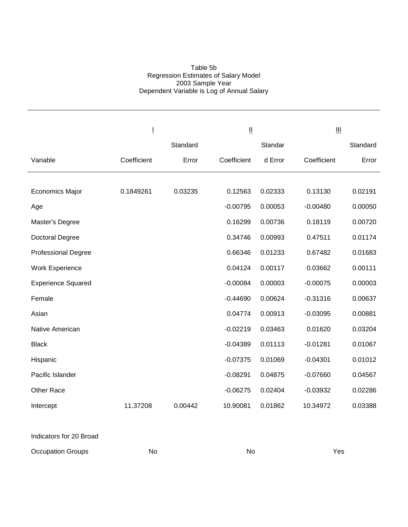## Table 5b Regression Estimates of Salary Model 2003 Sample Year Dependent Variable is Log of Annual Salary

|                            | Ţ           |          | Ш           |         |             |          |
|----------------------------|-------------|----------|-------------|---------|-------------|----------|
|                            |             | Standard |             | Standar |             | Standard |
| Variable                   | Coefficient | Error    | Coefficient | d Error | Coefficient | Error    |
|                            |             |          |             |         |             |          |
| <b>Economics Major</b>     | 0.1849261   | 0.03235  | 0.12563     | 0.02333 | 0.13130     | 0.02191  |
| Age                        |             |          | $-0.00795$  | 0.00053 | $-0.00480$  | 0.00050  |
| Master's Degree            |             |          | 0.16299     | 0.00736 | 0.18119     | 0.00720  |
| Doctoral Degree            |             |          | 0.34746     | 0.00993 | 0.47511     | 0.01174  |
| <b>Professional Degree</b> |             |          | 0.66346     | 0.01233 | 0.67482     | 0.01683  |
| <b>Work Experience</b>     |             |          | 0.04124     | 0.00117 | 0.03662     | 0.00111  |
| <b>Experience Squared</b>  |             |          | $-0.00084$  | 0.00003 | $-0.00075$  | 0.00003  |
| Female                     |             |          | $-0.44690$  | 0.00624 | $-0.31316$  | 0.00637  |
| Asian                      |             |          | 0.04774     | 0.00913 | $-0.03095$  | 0.00881  |
| Native American            |             |          | $-0.02219$  | 0.03463 | 0.01620     | 0.03204  |
| <b>Black</b>               |             |          | $-0.04389$  | 0.01113 | $-0.01281$  | 0.01067  |
| Hispanic                   |             |          | $-0.07375$  | 0.01069 | $-0.04301$  | 0.01012  |
| Pacific Islander           |             |          | $-0.08291$  | 0.04875 | $-0.07660$  | 0.04567  |
| Other Race                 |             |          | $-0.06275$  | 0.02404 | $-0.03932$  | 0.02286  |
| Intercept                  | 11.37208    | 0.00442  | 10.90081    | 0.01862 | 10.34972    | 0.03388  |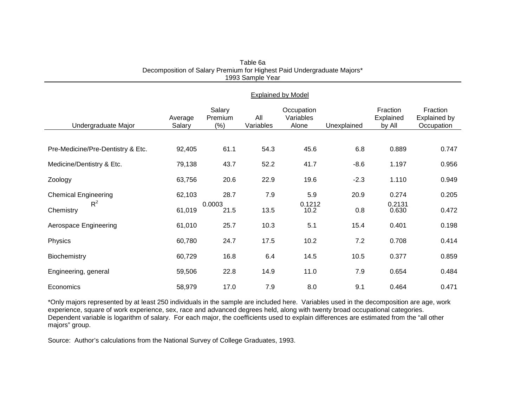|                                   | <b>Explained by Model</b> |                             |                  |                                  |             |                                 |                                               |  |  |
|-----------------------------------|---------------------------|-----------------------------|------------------|----------------------------------|-------------|---------------------------------|-----------------------------------------------|--|--|
| Undergraduate Major               | Average<br>Salary         | Salary<br>Premium<br>$(\%)$ | All<br>Variables | Occupation<br>Variables<br>Alone | Unexplained | Fraction<br>Explained<br>by All | Fraction<br><b>Explained by</b><br>Occupation |  |  |
|                                   |                           |                             |                  |                                  |             |                                 |                                               |  |  |
| Pre-Medicine/Pre-Dentistry & Etc. | 92,405                    | 61.1                        | 54.3             | 45.6                             | 6.8         | 0.889                           | 0.747                                         |  |  |
| Medicine/Dentistry & Etc.         | 79,138                    | 43.7                        | 52.2             | 41.7                             | $-8.6$      | 1.197                           | 0.956                                         |  |  |
| Zoology                           | 63,756                    | 20.6                        | 22.9             | 19.6                             | $-2.3$      | 1.110                           | 0.949                                         |  |  |
| <b>Chemical Engineering</b>       | 62,103                    | 28.7                        | 7.9              | 5.9                              | 20.9        | 0.274                           | 0.205                                         |  |  |
| $R^2$<br>Chemistry                | 61,019                    | 0.0003<br>21.5              | 13.5             | 0.1212<br>10.2                   | 0.8         | 0.2131<br>0.630                 | 0.472                                         |  |  |
| Aerospace Engineering             | 61,010                    | 25.7                        | 10.3             | 5.1                              | 15.4        | 0.401                           | 0.198                                         |  |  |
| Physics                           | 60,780                    | 24.7                        | 17.5             | 10.2                             | 7.2         | 0.708                           | 0.414                                         |  |  |
| Biochemistry                      | 60,729                    | 16.8                        | 6.4              | 14.5                             | 10.5        | 0.377                           | 0.859                                         |  |  |
| Engineering, general              | 59,506                    | 22.8                        | 14.9             | 11.0                             | 7.9         | 0.654                           | 0.484                                         |  |  |
| Economics                         | 58,979                    | 17.0                        | 7.9              | 8.0                              | 9.1         | 0.464                           | 0.471                                         |  |  |

| Table 6a                                                               |
|------------------------------------------------------------------------|
| Decomposition of Salary Premium for Highest Paid Undergraduate Majors* |
| 1993 Sample Year                                                       |

\*Only majors represented by at least 250 individuals in the sample are included here. Variables used in the decomposition are age, work experience, square of work experience, sex, race and advanced degrees held, along with twenty broad occupational categories. Dependent variable is logarithm of salary. For each major, the coefficients used to explain differences are estimated from the "all other majors" group.

Source: Author's calculations from the National Survey of College Graduates, 1993.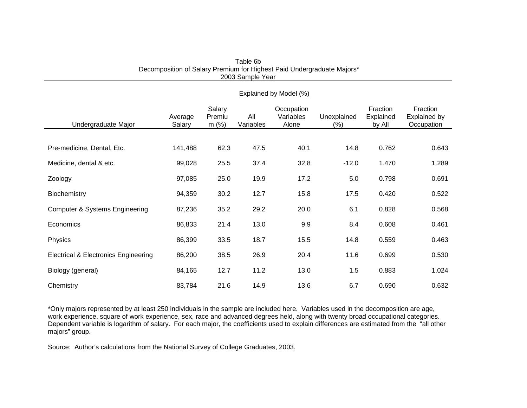|                                                 | Explained by Model (%) |                          |                  |                                  |                        |                                 |                                        |  |  |
|-------------------------------------------------|------------------------|--------------------------|------------------|----------------------------------|------------------------|---------------------------------|----------------------------------------|--|--|
| Undergraduate Major                             | Average<br>Salary      | Salary<br>Premiu<br>m(%) | All<br>Variables | Occupation<br>Variables<br>Alone | Unexplained<br>$(\% )$ | Fraction<br>Explained<br>by All | Fraction<br>Explained by<br>Occupation |  |  |
|                                                 |                        |                          |                  |                                  |                        |                                 |                                        |  |  |
| Pre-medicine, Dental, Etc.                      | 141,488                | 62.3                     | 47.5             | 40.1                             | 14.8                   | 0.762                           | 0.643                                  |  |  |
| Medicine, dental & etc.                         | 99,028                 | 25.5                     | 37.4             | 32.8                             | $-12.0$                | 1.470                           | 1.289                                  |  |  |
| Zoology                                         | 97,085                 | 25.0                     | 19.9             | 17.2                             | 5.0                    | 0.798                           | 0.691                                  |  |  |
| Biochemistry                                    | 94,359                 | 30.2                     | 12.7             | 15.8                             | 17.5                   | 0.420                           | 0.522                                  |  |  |
| <b>Computer &amp; Systems Engineering</b>       | 87,236                 | 35.2                     | 29.2             | 20.0                             | 6.1                    | 0.828                           | 0.568                                  |  |  |
| Economics                                       | 86,833                 | 21.4                     | 13.0             | 9.9                              | 8.4                    | 0.608                           | 0.461                                  |  |  |
| Physics                                         | 86,399                 | 33.5                     | 18.7             | 15.5                             | 14.8                   | 0.559                           | 0.463                                  |  |  |
| <b>Electrical &amp; Electronics Engineering</b> | 86,200                 | 38.5                     | 26.9             | 20.4                             | 11.6                   | 0.699                           | 0.530                                  |  |  |
| Biology (general)                               | 84,165                 | 12.7                     | 11.2             | 13.0                             | 1.5                    | 0.883                           | 1.024                                  |  |  |
| Chemistry                                       | 83,784                 | 21.6                     | 14.9             | 13.6                             | 6.7                    | 0.690                           | 0.632                                  |  |  |

Table 6b Decomposition of Salary Premium for Highest Paid Undergraduate Majors\* 2003 Sample Year

\*Only majors represented by at least 250 individuals in the sample are included here. Variables used in the decomposition are age, work experience, square of work experience, sex, race and advanced degrees held, along with twenty broad occupational categories. Dependent variable is logarithm of salary. For each major, the coefficients used to explain differences are estimated from the "all other majors" group.

Source: Author's calculations from the National Survey of College Graduates, 2003.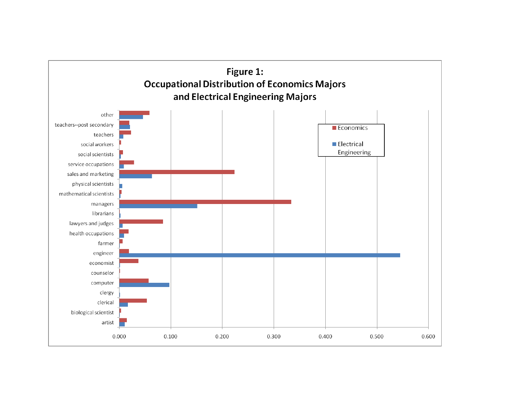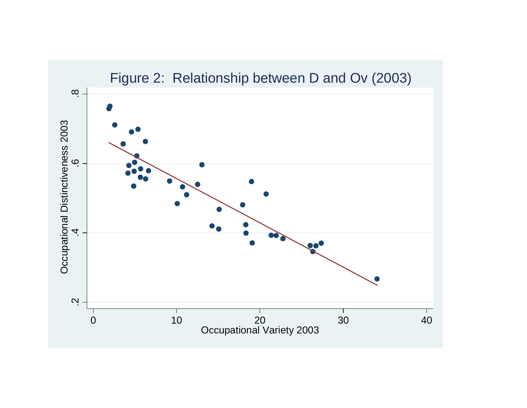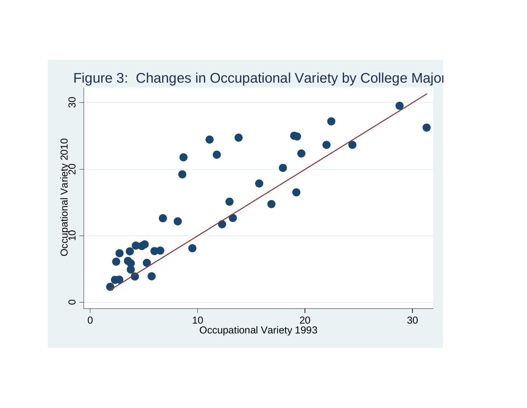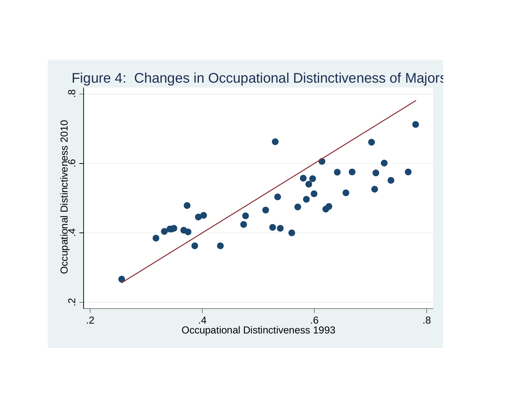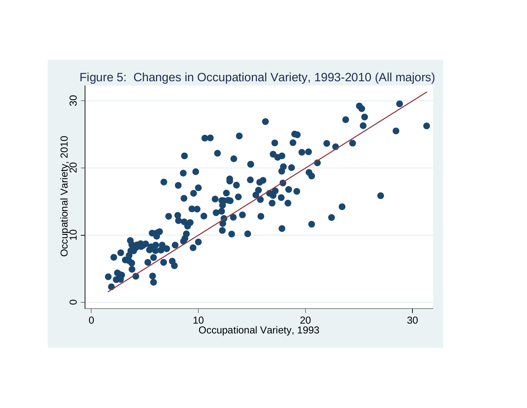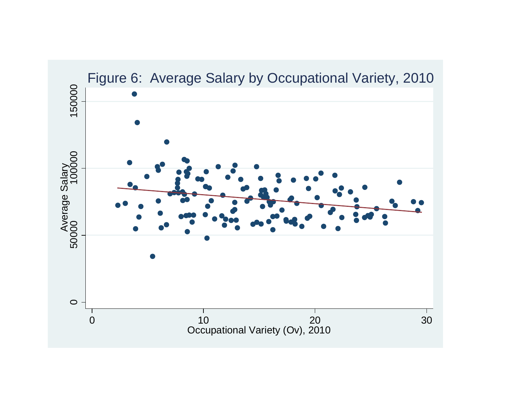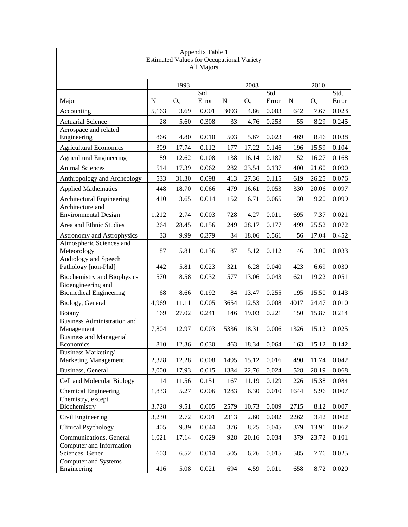| Appendix Table 1                                    |       |       |               |           |       |               |      |       |               |  |  |  |
|-----------------------------------------------------|-------|-------|---------------|-----------|-------|---------------|------|-------|---------------|--|--|--|
| <b>Estimated Values for Occupational Variety</b>    |       |       |               |           |       |               |      |       |               |  |  |  |
|                                                     |       |       | All Majors    |           |       |               |      |       |               |  |  |  |
|                                                     |       | 1993  |               |           | 2003  |               |      | 2010  |               |  |  |  |
| Major                                               | N     | $O_v$ | Std.<br>Error | ${\bf N}$ | $O_v$ | Std.<br>Error | N    | $O_v$ | Std.<br>Error |  |  |  |
| Accounting                                          | 5,163 | 3.69  | 0.001         | 3093      | 4.86  | 0.003         | 642  | 7.67  | 0.023         |  |  |  |
|                                                     |       |       |               |           |       |               |      |       |               |  |  |  |
| <b>Actuarial Science</b><br>Aerospace and related   | 28    | 5.60  | 0.308         | 33        | 4.76  | 0.253         | 55   | 8.29  | 0.245         |  |  |  |
| Engineering                                         | 866   | 4.80  | 0.010         | 503       | 5.67  | 0.023         | 469  | 8.46  | 0.038         |  |  |  |
| <b>Agricultural Economics</b>                       | 309   | 17.74 | 0.112         | 177       | 17.22 | 0.146         | 196  | 15.59 | 0.104         |  |  |  |
| <b>Agricultural Engineering</b>                     | 189   | 12.62 | 0.108         | 138       | 16.14 | 0.187         | 152  | 16.27 | 0.168         |  |  |  |
| <b>Animal Sciences</b>                              | 514   | 17.39 | 0.062         | 282       | 23.54 | 0.137         | 400  | 21.60 | 0.090         |  |  |  |
| Anthropology and Archeology                         | 533   | 31.30 | 0.098         | 413       | 27.36 | 0.115         | 619  | 26.25 | 0.076         |  |  |  |
| <b>Applied Mathematics</b>                          | 448   | 18.70 | 0.066         | 479       | 16.61 | 0.053         | 330  | 20.06 | 0.097         |  |  |  |
| Architectural Engineering                           | 410   | 3.65  | 0.014         | 152       | 6.71  | 0.065         | 130  | 9.20  | 0.099         |  |  |  |
| Architecture and                                    |       |       |               |           |       |               |      |       |               |  |  |  |
| <b>Environmental Design</b>                         | 1,212 | 2.74  | 0.003         | 728       | 4.27  | 0.011         | 695  | 7.37  | 0.021         |  |  |  |
| Area and Ethnic Studies                             | 264   | 28.45 | 0.156         | 249       | 28.17 | 0.177         | 499  | 25.52 | 0.072         |  |  |  |
| Astronomy and Astrophysics                          | 33    | 9.99  | 0.379         | 34        | 18.06 | 0.561         | 56   | 17.04 | 0.452         |  |  |  |
| Atmospheric Sciences and<br>Meteorology             | 87    | 5.81  | 0.136         | 87        | 5.12  | 0.112         | 146  | 3.00  | 0.033         |  |  |  |
| Audiology and Speech<br>Pathology [non-Phd]         | 442   | 5.81  | 0.023         | 321       | 6.28  | 0.040         | 423  | 6.69  | 0.030         |  |  |  |
| <b>Biochemistry and Biophysics</b>                  | 570   | 8.58  | 0.032         | 577       | 13.06 | 0.043         | 621  | 19.22 | 0.051         |  |  |  |
| Bioengineering and<br><b>Biomedical Engineering</b> | 68    | 8.66  | 0.192         | 84        | 13.47 | 0.255         | 195  | 15.50 | 0.143         |  |  |  |
| Biology, General                                    | 4,969 | 11.11 | 0.005         | 3654      | 12.53 | 0.008         | 4017 | 24.47 | 0.010         |  |  |  |
| <b>Botany</b>                                       | 169   | 27.02 | 0.241         | 146       | 19.03 | 0.221         | 150  | 15.87 | 0.214         |  |  |  |
| Business Administration and<br>Management           | 7,804 | 12.97 | 0.003         | 5336      | 18.31 | 0.006         | 1326 | 15.12 | 0.025         |  |  |  |
| <b>Business and Managerial</b>                      |       |       |               |           |       |               |      |       |               |  |  |  |
| Economics<br><b>Business Marketing/</b>             | 810   | 12.36 | 0.030         | 463       | 18.34 | 0.064         | 163  | 15.12 | 0.142         |  |  |  |
| <b>Marketing Management</b>                         | 2,328 | 12.28 | 0.008         | 1495      | 15.12 | 0.016         | 490  | 11.74 | 0.042         |  |  |  |
| Business, General                                   | 2,000 | 17.93 | 0.015         | 1384      | 22.76 | 0.024         | 528  | 20.19 | 0.068         |  |  |  |
| Cell and Molecular Biology                          | 114   | 11.56 | 0.151         | 167       | 11.19 | 0.129         | 226  | 15.38 | 0.084         |  |  |  |
| <b>Chemical Engineering</b>                         | 1,833 | 5.27  | 0.006         | 1283      | 6.30  | 0.010         | 1644 | 5.96  | 0.007         |  |  |  |
| Chemistry, except                                   |       |       |               |           |       |               |      |       |               |  |  |  |
| Biochemistry                                        | 3,728 | 9.51  | 0.005         | 2579      | 10.73 | 0.009         | 2715 | 8.12  | 0.007         |  |  |  |
| Civil Engineering                                   | 3,230 | 2.72  | 0.001         | 2313      | 2.60  | 0.002         | 2262 | 3.42  | 0.002         |  |  |  |
| <b>Clinical Psychology</b>                          | 405   | 9.39  | 0.044         | 376       | 8.25  | 0.045         | 379  | 13.91 | 0.062         |  |  |  |
| Communications, General                             | 1,021 | 17.14 | 0.029         | 928       | 20.16 | 0.034         | 379  | 23.72 | 0.101         |  |  |  |
| Computer and Information<br>Sciences, Gener         | 603   | 6.52  | 0.014         | 505       | 6.26  | 0.015         | 585  | 7.76  | 0.025         |  |  |  |
| <b>Computer and Systems</b><br>Engineering          | 416   | 5.08  | 0.021         | 694       | 4.59  | 0.011         | 658  | 8.72  | 0.020         |  |  |  |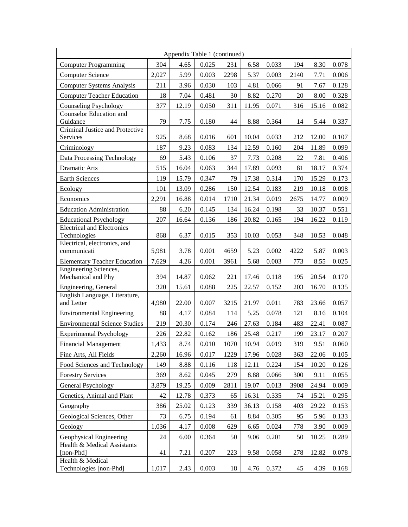|                                             |       | Appendix Table 1 (continued) |       |      |       |       |      |       |       |
|---------------------------------------------|-------|------------------------------|-------|------|-------|-------|------|-------|-------|
| <b>Computer Programming</b>                 | 304   | 4.65                         | 0.025 | 231  | 6.58  | 0.033 | 194  | 8.30  | 0.078 |
| <b>Computer Science</b>                     | 2,027 | 5.99                         | 0.003 | 2298 | 5.37  | 0.003 | 2140 | 7.71  | 0.006 |
| <b>Computer Systems Analysis</b>            | 211   | 3.96                         | 0.030 | 103  | 4.81  | 0.066 | 91   | 7.67  | 0.128 |
| <b>Computer Teacher Education</b>           | 18    | 7.04                         | 0.481 | 30   | 8.82  | 0.270 | 20   | 8.00  | 0.328 |
| Counseling Psychology                       | 377   | 12.19                        | 0.050 | 311  | 11.95 | 0.071 | 316  | 15.16 | 0.082 |
| <b>Counselor Education and</b>              |       |                              |       |      |       |       |      |       |       |
| Guidance<br>Criminal Justice and Protective | 79    | 7.75                         | 0.180 | 44   | 8.88  | 0.364 | 14   | 5.44  | 0.337 |
| Services                                    | 925   | 8.68                         | 0.016 | 601  | 10.04 | 0.033 | 212  | 12.00 | 0.107 |
| Criminology                                 | 187   | 9.23                         | 0.083 | 134  | 12.59 | 0.160 | 204  | 11.89 | 0.099 |
| Data Processing Technology                  | 69    | 5.43                         | 0.106 | 37   | 7.73  | 0.208 | 22   | 7.81  | 0.406 |
| Dramatic Arts                               | 515   | 16.04                        | 0.063 | 344  | 17.89 | 0.093 | 81   | 18.17 | 0.374 |
| Earth Sciences                              | 119   | 15.79                        | 0.347 | 79   | 17.38 | 0.314 | 170  | 15.29 | 0.173 |
| Ecology                                     | 101   | 13.09                        | 0.286 | 150  | 12.54 | 0.183 | 219  | 10.18 | 0.098 |
| Economics                                   | 2,291 | 16.88                        | 0.014 | 1710 | 21.34 | 0.019 | 2675 | 14.77 | 0.009 |
| <b>Education Administration</b>             | 88    | 6.20                         | 0.145 | 134  | 16.24 | 0.198 | 33   | 10.37 | 0.551 |
| <b>Educational Psychology</b>               | 207   | 16.64                        | 0.136 | 186  | 20.82 | 0.165 | 194  | 16.22 | 0.119 |
| <b>Electrical and Electronics</b>           |       |                              |       |      |       |       |      |       |       |
| Technologies                                | 868   | 6.37                         | 0.015 | 353  | 10.03 | 0.053 | 348  | 10.53 | 0.048 |
| Electrical, electronics, and<br>communicati | 5,981 | 3.78                         | 0.001 | 4659 | 5.23  | 0.002 | 4222 | 5.87  | 0.003 |
| <b>Elementary Teacher Education</b>         | 7,629 | 4.26                         | 0.001 | 3961 | 5.68  | 0.003 | 773  | 8.55  | 0.025 |
| Engineering Sciences,                       |       |                              |       |      |       |       |      |       |       |
| Mechanical and Phy                          | 394   | 14.87                        | 0.062 | 221  | 17.46 | 0.118 | 195  | 20.54 | 0.170 |
| Engineering, General                        | 320   | 15.61                        | 0.088 | 225  | 22.57 | 0.152 | 203  | 16.70 | 0.135 |
| English Language, Literature,<br>and Letter | 4,980 | 22.00                        | 0.007 | 3215 | 21.97 | 0.011 | 783  | 23.66 | 0.057 |
| <b>Environmental Engineering</b>            | 88    | 4.17                         | 0.084 | 114  | 5.25  | 0.078 | 121  | 8.16  | 0.104 |
| <b>Environmental Science Studies</b>        | 219   | 20.30                        | 0.174 | 246  | 27.63 | 0.184 | 483  | 22.41 | 0.087 |
| <b>Experimental Psychology</b>              | 226   | 22.82                        | 0.162 | 186  | 25.48 | 0.217 | 199  | 23.17 | 0.207 |
| <b>Financial Management</b>                 | 1,433 | 8.74                         | 0.010 | 1070 | 10.94 | 0.019 | 319  | 9.51  | 0.060 |
| Fine Arts, All Fields                       | 2,260 | 16.96                        | 0.017 | 1229 | 17.96 | 0.028 | 363  | 22.06 | 0.105 |
| Food Sciences and Technology                | 149   | 8.88                         | 0.116 | 118  | 12.11 | 0.224 | 154  | 10.20 | 0.126 |
| <b>Forestry Services</b>                    | 369   | 8.62                         | 0.045 | 279  | 8.88  | 0.066 | 300  | 9.11  | 0.055 |
| General Psychology                          | 3,879 | 19.25                        | 0.009 | 2811 | 19.07 | 0.013 | 3908 | 24.94 | 0.009 |
| Genetics, Animal and Plant                  | 42    | 12.78                        | 0.373 | 65   | 16.31 | 0.335 | 74   | 15.21 | 0.295 |
| Geography                                   | 386   | 25.02                        | 0.123 | 339  | 36.13 | 0.158 | 403  | 29.22 | 0.153 |
| Geological Sciences, Other                  | 73    | 6.75                         | 0.194 | 61   | 8.84  | 0.305 | 95   | 5.96  | 0.133 |
| Geology                                     | 1,036 | 4.17                         | 0.008 | 629  | 6.65  | 0.024 | 778  | 3.90  | 0.009 |
| Geophysical Engineering                     | 24    | 6.00                         | 0.364 | 50   | 9.06  | 0.201 | 50   | 10.25 | 0.289 |
| Health & Medical Assistants                 |       |                              |       |      |       |       |      |       |       |
| [non-Phd]                                   | 41    | 7.21                         | 0.207 | 223  | 9.58  | 0.058 | 278  | 12.82 | 0.078 |
| Health & Medical<br>Technologies [non-Phd]  | 1,017 | 2.43                         | 0.003 | 18   | 4.76  | 0.372 | 45   | 4.39  | 0.168 |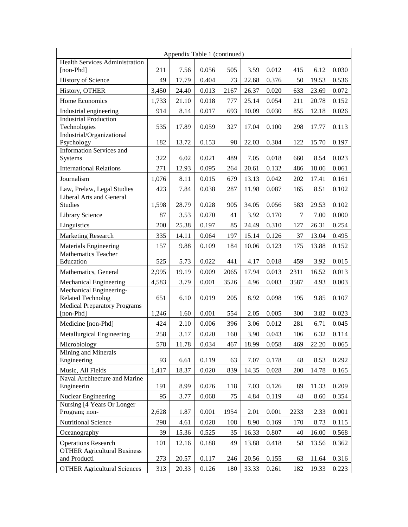|                                                     | Appendix Table 1 (continued) |       |       |      |       |       |      |       |       |
|-----------------------------------------------------|------------------------------|-------|-------|------|-------|-------|------|-------|-------|
| <b>Health Services Administration</b><br>[non-Phd]  | 211                          | 7.56  | 0.056 | 505  | 3.59  | 0.012 | 415  | 6.12  | 0.030 |
| <b>History of Science</b>                           | 49                           | 17.79 | 0.404 | 73   | 22.68 | 0.376 | 50   | 19.53 | 0.536 |
| History, OTHER                                      | 3,450                        | 24.40 | 0.013 | 2167 | 26.37 | 0.020 | 633  | 23.69 | 0.072 |
| Home Economics                                      | 1,733                        | 21.10 | 0.018 | 777  | 25.14 | 0.054 | 211  | 20.78 | 0.152 |
| Industrial engineering                              | 914                          | 8.14  | 0.017 | 693  | 10.09 | 0.030 | 855  | 12.18 | 0.026 |
| <b>Industrial Production</b><br>Technologies        | 535                          | 17.89 | 0.059 | 327  | 17.04 | 0.100 | 298  | 17.77 | 0.113 |
| Industrial/Organizational<br>Psychology             | 182                          | 13.72 | 0.153 | 98   | 22.03 | 0.304 | 122  | 15.70 | 0.197 |
| <b>Information Services and</b><br>Systems          | 322                          | 6.02  | 0.021 | 489  | 7.05  | 0.018 | 660  | 8.54  | 0.023 |
| <b>International Relations</b>                      | 271                          | 12.93 | 0.095 | 264  | 20.61 | 0.132 | 486  | 18.06 | 0.061 |
| Journalism                                          | 1,076                        | 8.11  | 0.015 | 679  | 13.13 | 0.042 | 202  | 17.41 | 0.161 |
| Law, Prelaw, Legal Studies                          | 423                          | 7.84  | 0.038 | 287  | 11.98 | 0.087 | 165  | 8.51  | 0.102 |
| Liberal Arts and General<br>Studies                 | 1,598                        | 28.79 | 0.028 | 905  | 34.05 | 0.056 | 583  | 29.53 | 0.102 |
| Library Science                                     | 87                           | 3.53  | 0.070 | 41   | 3.92  | 0.170 | 7    | 7.00  | 0.000 |
| Linguistics                                         | 200                          | 25.38 | 0.197 | 85   | 24.49 | 0.310 | 127  | 26.31 | 0.254 |
| Marketing Research                                  | 335                          | 14.11 | 0.064 | 197  | 15.14 | 0.126 | 37   | 13.04 | 0.495 |
| <b>Materials Engineering</b>                        | 157                          | 9.88  | 0.109 | 184  | 10.06 | 0.123 | 175  | 13.88 | 0.152 |
| <b>Mathematics Teacher</b><br>Education             | 525                          | 5.73  | 0.022 | 441  | 4.17  | 0.018 | 459  | 3.92  | 0.015 |
| Mathematics, General                                | 2,995                        | 19.19 | 0.009 | 2065 | 17.94 | 0.013 | 2311 | 16.52 | 0.013 |
| Mechanical Engineering                              | 4,583                        | 3.79  | 0.001 | 3526 | 4.96  | 0.003 | 3587 | 4.93  | 0.003 |
| Mechanical Engineering-<br><b>Related Technolog</b> | 651                          | 6.10  | 0.019 | 205  | 8.92  | 0.098 | 195  | 9.85  | 0.107 |
| <b>Medical Preparatory Programs</b><br>[non-Phd]    | 1,246                        | 1.60  | 0.001 | 554  | 2.05  | 0.005 | 300  | 3.82  | 0.023 |
| Medicine [non-Phd]                                  | 424                          | 2.10  | 0.006 | 396  | 3.06  | 0.012 | 281  | 6.71  | 0.045 |
| Metallurgical Engineering                           | 258                          | 3.17  | 0.020 | 160  | 3.90  | 0.043 | 106  | 6.32  | 0.114 |
| Microbiology                                        | 578                          | 11.78 | 0.034 | 467  | 18.99 | 0.058 | 469  | 22.20 | 0.065 |
| Mining and Minerals<br>Engineering                  | 93                           | 6.61  | 0.119 | 63   | 7.07  | 0.178 | 48   | 8.53  | 0.292 |
| Music, All Fields                                   | 1,417                        | 18.37 | 0.020 | 839  | 14.35 | 0.028 | 200  | 14.78 | 0.165 |
| Naval Architecture and Marine<br>Engineerin         | 191                          | 8.99  | 0.076 | 118  | 7.03  | 0.126 | 89   | 11.33 | 0.209 |
| Nuclear Engineering                                 | 95                           | 3.77  | 0.068 | 75   | 4.84  | 0.119 | 48   | 8.60  | 0.354 |
| Nursing [4 Years Or Longer<br>Program; non-         | 2,628                        | 1.87  | 0.001 | 1954 | 2.01  | 0.001 | 2233 | 2.33  | 0.001 |
| <b>Nutritional Science</b>                          | 298                          | 4.61  | 0.028 | 108  | 8.90  | 0.169 | 170  | 8.73  | 0.115 |
| Oceanography                                        | 39                           | 15.36 | 0.525 | 35   | 16.33 | 0.807 | 40   | 16.00 | 0.568 |
| <b>Operations Research</b>                          | 101                          | 12.16 | 0.188 | 49   | 13.88 | 0.418 | 58   | 13.56 | 0.362 |
| <b>OTHER Agricultural Business</b><br>and Producti  | 273                          | 20.57 | 0.117 | 246  | 20.56 | 0.155 | 63   | 11.64 | 0.316 |
| <b>OTHER Agricultural Sciences</b>                  | 313                          | 20.33 | 0.126 | 180  | 33.33 | 0.261 | 182  | 19.33 | 0.223 |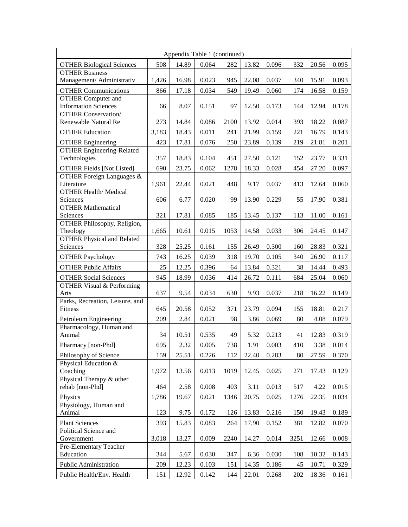|                                                  |       | Appendix Table 1 (continued) |       |      |       |       |      |       |       |
|--------------------------------------------------|-------|------------------------------|-------|------|-------|-------|------|-------|-------|
| <b>OTHER Biological Sciences</b>                 | 508   | 14.89                        | 0.064 | 282  | 13.82 | 0.096 | 332  | 20.56 | 0.095 |
| <b>OTHER Business</b>                            |       |                              |       |      |       |       |      |       |       |
| Management/ Administrativ                        | 1,426 | 16.98                        | 0.023 | 945  | 22.08 | 0.037 | 340  | 15.91 | 0.093 |
| <b>OTHER Communications</b>                      | 866   | 17.18                        | 0.034 | 549  | 19.49 | 0.060 | 174  | 16.58 | 0.159 |
| <b>OTHER Computer and</b>                        |       |                              |       |      |       |       |      |       |       |
| <b>Information Sciences</b>                      | 66    | 8.07                         | 0.151 | 97   | 12.50 | 0.173 | 144  | 12.94 | 0.178 |
| <b>OTHER Conservation/</b>                       |       |                              |       |      |       |       |      |       |       |
| Renewable Natural Re                             | 273   | 14.84                        | 0.086 | 2100 | 13.92 | 0.014 | 393  | 18.22 | 0.087 |
| <b>OTHER Education</b>                           | 3,183 | 18.43                        | 0.011 | 241  | 21.99 | 0.159 | 221  | 16.79 | 0.143 |
| <b>OTHER Engineering</b>                         | 423   | 17.81                        | 0.076 | 250  | 23.89 | 0.139 | 219  | 21.81 | 0.201 |
| <b>OTHER Engineering-Related</b>                 |       |                              |       |      |       |       |      |       |       |
| Technologies                                     | 357   | 18.83                        | 0.104 | 451  | 27.50 | 0.121 | 152  | 23.77 | 0.331 |
| <b>OTHER Fields [Not Listed]</b>                 | 690   | 23.75                        | 0.062 | 1278 | 18.33 | 0.028 | 454  | 27.20 | 0.097 |
| OTHER Foreign Languages &                        |       |                              |       |      |       |       |      |       |       |
| Literature                                       | 1,961 | 22.44                        | 0.021 | 448  | 9.17  | 0.037 | 413  | 12.64 | 0.060 |
| <b>OTHER Health/ Medical</b>                     |       |                              |       |      |       |       |      |       |       |
| Sciences                                         | 606   | 6.77                         | 0.020 | 99   | 13.90 | 0.229 | 55   | 17.90 | 0.381 |
| <b>OTHER Mathematical</b>                        |       |                              |       |      |       |       |      |       |       |
| Sciences<br><b>OTHER Philosophy, Religion,</b>   | 321   | 17.81                        | 0.085 | 185  | 13.45 | 0.137 | 113  | 11.00 | 0.161 |
| Theology                                         | 1,665 | 10.61                        | 0.015 | 1053 | 14.58 | 0.033 | 306  | 24.45 | 0.147 |
| <b>OTHER Physical and Related</b>                |       |                              |       |      |       |       |      |       |       |
| Sciences                                         | 328   | 25.25                        | 0.161 | 155  | 26.49 | 0.300 | 160  | 28.83 | 0.321 |
| <b>OTHER Psychology</b>                          | 743   | 16.25                        | 0.039 | 318  | 19.70 | 0.105 | 340  | 26.90 | 0.117 |
|                                                  |       |                              |       |      |       |       |      |       |       |
| <b>OTHER Public Affairs</b>                      | 25    | 12.25                        | 0.396 | 64   | 13.84 | 0.321 | 38   | 14.44 | 0.493 |
| <b>OTHER Social Sciences</b>                     | 945   | 18.99                        | 0.036 | 414  | 26.72 | 0.111 | 684  | 25.04 | 0.060 |
| OTHER Visual & Performing                        |       |                              |       |      |       |       |      |       |       |
| Arts<br>Parks, Recreation, Leisure, and          | 637   | 9.54                         | 0.034 | 630  | 9.93  | 0.037 | 218  | 16.22 | 0.149 |
| Fitness                                          | 645   | 20.58                        | 0.052 | 371  | 23.79 | 0.094 | 155  | 18.81 | 0.217 |
|                                                  |       |                              |       |      |       |       |      |       |       |
| Petroleum Engineering<br>Pharmacology, Human and | 209   | 2.84                         | 0.021 | 98   | 3.86  | 0.069 | 80   | 4.08  | 0.079 |
| Animal                                           | 34    | 10.51                        | 0.535 | 49   | 5.32  | 0.213 | 41   | 12.83 | 0.319 |
| Pharmacy [non-Phd]                               | 695   | 2.32                         | 0.005 | 738  | 1.91  | 0.003 | 410  | 3.38  | 0.014 |
|                                                  |       |                              |       |      |       |       |      |       |       |
| Philosophy of Science<br>Physical Education &    | 159   | 25.51                        | 0.226 | 112  | 22.40 | 0.283 | 80   | 27.59 | 0.370 |
| Coaching                                         | 1,972 | 13.56                        | 0.013 | 1019 | 12.45 | 0.025 | 271  | 17.43 | 0.129 |
| Physical Therapy & other                         |       |                              |       |      |       |       |      |       |       |
| rehab [non-Phd]                                  | 464   | 2.58                         | 0.008 | 403  | 3.11  | 0.013 | 517  | 4.22  | 0.015 |
| Physics                                          | 1,786 | 19.67                        | 0.021 | 1346 | 20.75 | 0.025 | 1276 | 22.35 | 0.034 |
| Physiology, Human and                            |       |                              |       |      |       |       |      |       |       |
| Animal                                           | 123   | 9.75                         | 0.172 | 126  | 13.83 | 0.216 | 150  | 19.43 | 0.189 |
| <b>Plant Sciences</b>                            | 393   | 15.83                        | 0.083 | 264  | 17.90 | 0.152 | 381  | 12.82 | 0.070 |
| Political Science and                            |       |                              |       |      |       |       |      |       |       |
| Government                                       | 3,018 | 13.27                        | 0.009 | 2240 | 14.27 | 0.014 | 3251 | 12.66 | 0.008 |
| Pre-Elementary Teacher                           |       |                              |       |      |       |       |      |       |       |
| Education                                        | 344   | 5.67                         | 0.030 | 347  | 6.36  | 0.030 | 108  | 10.32 | 0.143 |
| Public Administration                            | 209   | 12.23                        | 0.103 | 151  | 14.35 | 0.186 | 45   | 10.71 | 0.329 |
| Public Health/Env. Health                        | 151   | 12.92                        | 0.142 | 144  | 22.01 | 0.268 | 202  | 18.36 | 0.161 |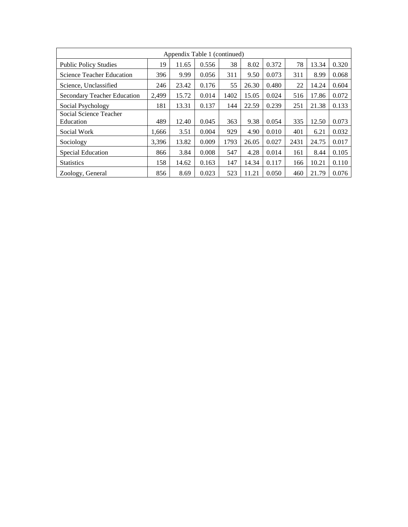| Appendix Table 1 (continued)        |       |       |       |      |       |       |      |       |       |  |  |  |
|-------------------------------------|-------|-------|-------|------|-------|-------|------|-------|-------|--|--|--|
| <b>Public Policy Studies</b>        | 19    | 11.65 | 0.556 | 38   | 8.02  | 0.372 | 78   | 13.34 | 0.320 |  |  |  |
| <b>Science Teacher Education</b>    | 396   | 9.99  | 0.056 | 311  | 9.50  | 0.073 | 311  | 8.99  | 0.068 |  |  |  |
| Science, Unclassified               | 246   | 23.42 | 0.176 | 55   | 26.30 | 0.480 | 22   | 14.24 | 0.604 |  |  |  |
| <b>Secondary Teacher Education</b>  | 2.499 | 15.72 | 0.014 | 1402 | 15.05 | 0.024 | 516  | 17.86 | 0.072 |  |  |  |
| Social Psychology                   | 181   | 13.31 | 0.137 | 144  | 22.59 | 0.239 | 251  | 21.38 | 0.133 |  |  |  |
| Social Science Teacher<br>Education | 489   | 12.40 | 0.045 | 363  | 9.38  | 0.054 | 335  | 12.50 | 0.073 |  |  |  |
| Social Work                         | 1,666 | 3.51  | 0.004 | 929  | 4.90  | 0.010 | 401  | 6.21  | 0.032 |  |  |  |
| Sociology                           | 3,396 | 13.82 | 0.009 | 1793 | 26.05 | 0.027 | 2431 | 24.75 | 0.017 |  |  |  |
| Special Education                   | 866   | 3.84  | 0.008 | 547  | 4.28  | 0.014 | 161  | 8.44  | 0.105 |  |  |  |
| <b>Statistics</b>                   | 158   | 14.62 | 0.163 | 147  | 14.34 | 0.117 | 166  | 10.21 | 0.110 |  |  |  |
| Zoology, General                    | 856   | 8.69  | 0.023 | 523  | 11.21 | 0.050 | 460  | 21.79 | 0.076 |  |  |  |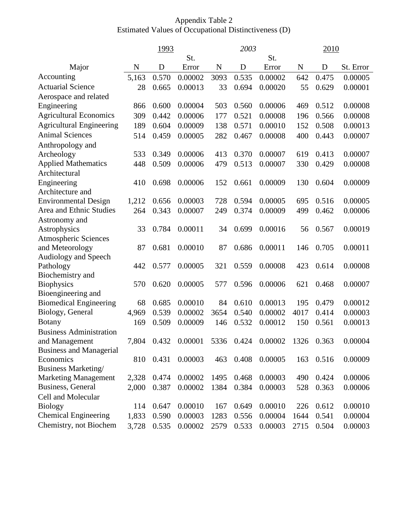# Appendix Table 2 Estimated Values of Occupational Distinctiveness (D)

|                                 | 1993        |       |                                  | 2003        |       | 2010    |      |            |           |
|---------------------------------|-------------|-------|----------------------------------|-------------|-------|---------|------|------------|-----------|
|                                 |             |       | St.                              |             |       | St.     |      |            |           |
| Major                           | $\mathbf N$ | D     | Error                            | $\mathbf N$ | D     | Error   | N    | D          | St. Error |
| Accounting                      | 5,163       | 0.570 | 0.00002                          | 3093        | 0.535 | 0.00002 | 642  | 0.475      | 0.00005   |
| <b>Actuarial Science</b>        | 28          | 0.665 | 0.00013                          | 33          | 0.694 | 0.00020 | 55   | 0.629      | 0.00001   |
| Aerospace and related           |             |       |                                  |             |       |         |      |            |           |
| Engineering                     | 866         | 0.600 | 0.00004                          | 503         | 0.560 | 0.00006 | 469  | 0.512      | 0.00008   |
| <b>Agricultural Economics</b>   | 309         | 0.442 | 0.00006                          | 177         | 0.521 | 0.00008 | 196  | 0.566      | 0.00008   |
| <b>Agricultural Engineering</b> | 189         | 0.604 | 0.00009                          | 138         | 0.571 | 0.00010 | 152  | 0.508      | 0.00013   |
| <b>Animal Sciences</b>          | 514         | 0.459 | 0.00005                          | 282         | 0.467 | 0.00008 | 400  | 0.443      | 0.00007   |
| Anthropology and                |             |       |                                  |             |       |         |      |            |           |
| Archeology                      | 533         | 0.349 | 0.00006                          | 413         | 0.370 | 0.00007 | 619  | 0.413      | 0.00007   |
| <b>Applied Mathematics</b>      | 448         | 0.509 | 0.00006                          | 479         | 0.513 | 0.00007 | 330  | 0.429      | 0.00008   |
| Architectural                   |             |       |                                  |             |       |         |      |            |           |
| Engineering                     | 410         | 0.698 | 0.00006                          | 152         | 0.661 | 0.00009 | 130  | 0.604      | 0.00009   |
| Architecture and                |             |       |                                  |             |       |         |      |            |           |
| <b>Environmental Design</b>     | 1,212       | 0.656 | 0.00003                          | 728         | 0.594 | 0.00005 | 695  | 0.516      | 0.00005   |
| Area and Ethnic Studies         | 264         | 0.343 | 0.00007                          | 249         | 0.374 | 0.00009 | 499  | 0.462      | 0.00006   |
| Astronomy and                   |             |       |                                  |             |       |         |      |            |           |
| Astrophysics                    | 33          | 0.784 | 0.00011                          | 34          | 0.699 | 0.00016 | 56   | 0.567      | 0.00019   |
| <b>Atmospheric Sciences</b>     |             |       |                                  |             |       |         |      |            |           |
| and Meteorology                 | 87          | 0.681 | 0.00010                          | 87          | 0.686 | 0.00011 | 146  | 0.705      | 0.00011   |
| Audiology and Speech            |             |       |                                  |             |       |         |      |            |           |
| Pathology                       | 442         | 0.577 | 0.00005                          | 321         | 0.559 | 0.00008 | 423  | 0.614      | 0.00008   |
| Biochemistry and                |             |       |                                  |             |       |         |      |            |           |
| <b>Biophysics</b>               | 570         | 0.620 | 0.00005                          | 577         | 0.596 | 0.00006 | 621  | 0.468      | 0.00007   |
| Bioengineering and              |             |       |                                  |             |       |         |      |            |           |
| <b>Biomedical Engineering</b>   | 68          | 0.685 | 0.00010                          | 84          | 0.610 | 0.00013 | 195  | 0.479      | 0.00012   |
| Biology, General                | 4,969       | 0.539 | 0.00002                          | 3654        | 0.540 | 0.00002 | 4017 | 0.414      | 0.00003   |
| <b>Botany</b>                   | 169         | 0.509 | 0.00009                          | 146         | 0.532 | 0.00012 | 150  | 0.561      | 0.00013   |
| <b>Business Administration</b>  |             |       |                                  |             |       |         |      |            |           |
| and Management                  | 7,804       |       | 0.432 0.00001 5336 0.424 0.00002 |             |       |         |      | 1326 0.363 | 0.00004   |
| <b>Business and Managerial</b>  |             |       |                                  |             |       |         |      |            |           |
| Economics                       | 810         | 0.431 | 0.00003                          | 463         | 0.408 | 0.00005 | 163  | 0.516      | 0.00009   |
| Business Marketing/             |             |       |                                  |             |       |         |      |            |           |
| <b>Marketing Management</b>     | 2,328       | 0.474 | 0.00002                          | 1495        | 0.468 | 0.00003 | 490  | 0.424      | 0.00006   |
| Business, General               | 2,000       | 0.387 | 0.00002                          | 1384        | 0.384 | 0.00003 | 528  | 0.363      | 0.00006   |
| Cell and Molecular              |             |       |                                  |             |       |         |      |            |           |
| <b>Biology</b>                  | 114         | 0.647 | 0.00010                          | 167         | 0.649 | 0.00010 | 226  | 0.612      | 0.00010   |
| <b>Chemical Engineering</b>     | 1,833       | 0.590 | 0.00003                          | 1283        | 0.556 | 0.00004 | 1644 | 0.541      | 0.00004   |
| Chemistry, not Biochem          | 3,728       | 0.535 | 0.00002                          | 2579        | 0.533 | 0.00003 | 2715 | 0.504      | 0.00003   |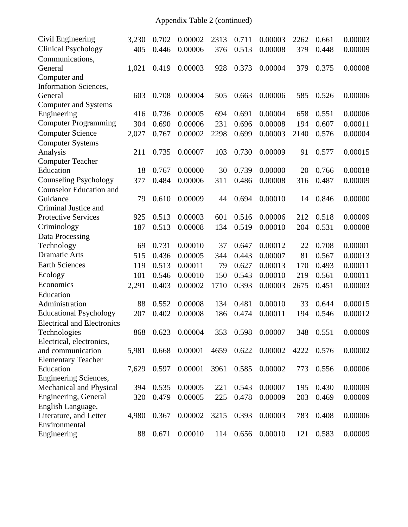Appendix Table 2 (continued)

| Civil Engineering                 | 3,230 | 0.702 | 0.00002 | 2313 | 0.711 | 0.00003           | 2262 | 0.661     | 0.00003 |
|-----------------------------------|-------|-------|---------|------|-------|-------------------|------|-----------|---------|
| <b>Clinical Psychology</b>        | 405   | 0.446 | 0.00006 | 376  | 0.513 | 0.00008           | 379  | 0.448     | 0.00009 |
| Communications,                   |       |       |         |      |       |                   |      |           |         |
| General                           | 1,021 | 0.419 | 0.00003 | 928  | 0.373 | 0.00004           | 379  | 0.375     | 0.00008 |
| Computer and                      |       |       |         |      |       |                   |      |           |         |
| <b>Information Sciences,</b>      |       |       |         |      |       |                   |      |           |         |
| General                           | 603   | 0.708 | 0.00004 | 505  | 0.663 | 0.00006           | 585  | 0.526     | 0.00006 |
| <b>Computer and Systems</b>       |       |       |         |      |       |                   |      |           |         |
| Engineering                       | 416   | 0.736 | 0.00005 | 694  | 0.691 | 0.00004           | 658  | 0.551     | 0.00006 |
| <b>Computer Programming</b>       | 304   | 0.690 | 0.00006 | 231  | 0.696 | 0.00008           | 194  | 0.607     | 0.00011 |
| <b>Computer Science</b>           | 2,027 | 0.767 | 0.00002 | 2298 | 0.699 | 0.00003           | 2140 | 0.576     | 0.00004 |
| <b>Computer Systems</b>           |       |       |         |      |       |                   |      |           |         |
| Analysis                          | 211   | 0.735 | 0.00007 | 103  | 0.730 | 0.00009           | 91   | 0.577     | 0.00015 |
| <b>Computer Teacher</b>           |       |       |         |      |       |                   |      |           |         |
| Education                         | 18    | 0.767 | 0.00000 | 30   | 0.739 | 0.00000           | 20   | 0.766     | 0.00018 |
| <b>Counseling Psychology</b>      | 377   | 0.484 | 0.00006 | 311  | 0.486 | 0.00008           | 316  | 0.487     | 0.00009 |
| <b>Counselor Education and</b>    |       |       |         |      |       |                   |      |           |         |
| Guidance                          | 79    | 0.610 | 0.00009 | 44   | 0.694 | 0.00010           | 14   | 0.846     | 0.00000 |
| Criminal Justice and              |       |       |         |      |       |                   |      |           |         |
| <b>Protective Services</b>        | 925   | 0.513 | 0.00003 | 601  | 0.516 | 0.00006           | 212  | 0.518     | 0.00009 |
| Criminology                       | 187   | 0.513 | 0.00008 | 134  | 0.519 | 0.00010           | 204  | 0.531     | 0.00008 |
| Data Processing                   |       |       |         |      |       |                   |      |           |         |
| Technology                        | 69    | 0.731 | 0.00010 | 37   | 0.647 | 0.00012           | 22   | 0.708     | 0.00001 |
| <b>Dramatic Arts</b>              | 515   | 0.436 | 0.00005 | 344  | 0.443 | 0.00007           | 81   | 0.567     | 0.00013 |
| <b>Earth Sciences</b>             | 119   | 0.513 | 0.00011 | 79   | 0.627 | 0.00013           | 170  | 0.493     | 0.00011 |
| Ecology                           | 101   | 0.546 | 0.00010 | 150  | 0.543 | 0.00010           | 219  | 0.561     | 0.00011 |
| Economics                         | 2,291 | 0.403 | 0.00002 | 1710 | 0.393 | 0.00003           | 2675 | 0.451     | 0.00003 |
| Education                         |       |       |         |      |       |                   |      |           |         |
| Administration                    | 88    | 0.552 | 0.00008 | 134  | 0.481 | 0.00010           | 33   | 0.644     | 0.00015 |
| <b>Educational Psychology</b>     | 207   | 0.402 | 0.00008 | 186  | 0.474 | 0.00011           | 194  | 0.546     | 0.00012 |
| <b>Electrical and Electronics</b> |       |       |         |      |       |                   |      |           |         |
| Technologies                      | 868   | 0.623 | 0.00004 |      |       | 353 0.598 0.00007 |      | 348 0.551 | 0.00009 |
| Electrical, electronics,          |       |       |         |      |       |                   |      |           |         |
| and communication                 | 5,981 | 0.668 | 0.00001 | 4659 | 0.622 | 0.00002           | 4222 | 0.576     | 0.00002 |
| <b>Elementary Teacher</b>         |       |       |         |      |       |                   |      |           |         |
| Education                         | 7,629 | 0.597 | 0.00001 | 3961 | 0.585 | 0.00002           | 773  | 0.556     | 0.00006 |
| <b>Engineering Sciences,</b>      |       |       |         |      |       |                   |      |           |         |
| Mechanical and Physical           | 394   | 0.535 | 0.00005 | 221  | 0.543 | 0.00007           | 195  | 0.430     | 0.00009 |
| Engineering, General              | 320   | 0.479 | 0.00005 | 225  | 0.478 | 0.00009           | 203  | 0.469     | 0.00009 |
| English Language,                 |       |       |         |      |       |                   |      |           |         |
| Literature, and Letter            | 4,980 | 0.367 | 0.00002 | 3215 | 0.393 | 0.00003           | 783  | 0.408     | 0.00006 |
| Environmental                     |       |       |         |      |       |                   |      |           |         |
| Engineering                       | 88    | 0.671 | 0.00010 | 114  | 0.656 | 0.00010           | 121  | 0.583     | 0.00009 |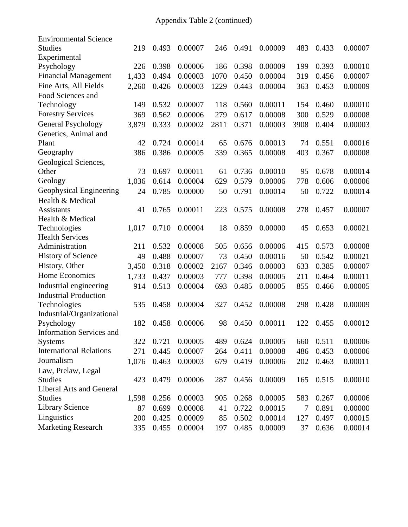| 219   | 0.493                                                         | 0.00007                                                                                | 246                                                                                                        | 0.491                                                   | 0.00009                                                                                | 483                                                                                                        | 0.433                                                   | 0.00007                                                                       |
|-------|---------------------------------------------------------------|----------------------------------------------------------------------------------------|------------------------------------------------------------------------------------------------------------|---------------------------------------------------------|----------------------------------------------------------------------------------------|------------------------------------------------------------------------------------------------------------|---------------------------------------------------------|-------------------------------------------------------------------------------|
|       |                                                               |                                                                                        |                                                                                                            |                                                         |                                                                                        |                                                                                                            |                                                         |                                                                               |
| 226   | 0.398                                                         | 0.00006                                                                                | 186                                                                                                        | 0.398                                                   | 0.00009                                                                                | 199                                                                                                        | 0.393                                                   | 0.00010                                                                       |
| 1,433 | 0.494                                                         | 0.00003                                                                                | 1070                                                                                                       | 0.450                                                   | 0.00004                                                                                | 319                                                                                                        | 0.456                                                   | 0.00007                                                                       |
| 2,260 | 0.426                                                         | 0.00003                                                                                | 1229                                                                                                       | 0.443                                                   | 0.00004                                                                                | 363                                                                                                        | 0.453                                                   | 0.00009                                                                       |
|       |                                                               |                                                                                        |                                                                                                            |                                                         |                                                                                        |                                                                                                            |                                                         |                                                                               |
| 149   | 0.532                                                         | 0.00007                                                                                | 118                                                                                                        | 0.560                                                   | 0.00011                                                                                | 154                                                                                                        | 0.460                                                   | 0.00010                                                                       |
| 369   | 0.562                                                         | 0.00006                                                                                | 279                                                                                                        | 0.617                                                   | 0.00008                                                                                | 300                                                                                                        | 0.529                                                   | 0.00008                                                                       |
| 3,879 | 0.333                                                         | 0.00002                                                                                | 2811                                                                                                       | 0.371                                                   | 0.00003                                                                                | 3908                                                                                                       | 0.404                                                   | 0.00003                                                                       |
|       |                                                               |                                                                                        |                                                                                                            |                                                         |                                                                                        |                                                                                                            |                                                         |                                                                               |
| 42    | 0.724                                                         | 0.00014                                                                                | 65                                                                                                         | 0.676                                                   | 0.00013                                                                                | 74                                                                                                         | 0.551                                                   | 0.00016                                                                       |
| 386   | 0.386                                                         | 0.00005                                                                                | 339                                                                                                        | 0.365                                                   | 0.00008                                                                                | 403                                                                                                        | 0.367                                                   | 0.00008                                                                       |
|       |                                                               |                                                                                        |                                                                                                            |                                                         |                                                                                        |                                                                                                            |                                                         |                                                                               |
| 73    | 0.697                                                         | 0.00011                                                                                | 61                                                                                                         | 0.736                                                   | 0.00010                                                                                | 95                                                                                                         | 0.678                                                   | 0.00014                                                                       |
| 1,036 | 0.614                                                         | 0.00004                                                                                | 629                                                                                                        | 0.579                                                   | 0.00006                                                                                | 778                                                                                                        | 0.606                                                   | 0.00006                                                                       |
| 24    | 0.785                                                         | 0.00000                                                                                | 50                                                                                                         | 0.791                                                   | 0.00014                                                                                | 50                                                                                                         | 0.722                                                   | 0.00014                                                                       |
|       |                                                               |                                                                                        |                                                                                                            |                                                         |                                                                                        |                                                                                                            |                                                         |                                                                               |
| 41    | 0.765                                                         | 0.00011                                                                                | 223                                                                                                        | 0.575                                                   | 0.00008                                                                                | 278                                                                                                        | 0.457                                                   | 0.00007                                                                       |
|       |                                                               |                                                                                        |                                                                                                            |                                                         |                                                                                        |                                                                                                            |                                                         |                                                                               |
|       |                                                               |                                                                                        |                                                                                                            |                                                         |                                                                                        |                                                                                                            |                                                         | 0.00021                                                                       |
|       |                                                               |                                                                                        |                                                                                                            |                                                         |                                                                                        |                                                                                                            |                                                         |                                                                               |
|       |                                                               |                                                                                        |                                                                                                            |                                                         |                                                                                        |                                                                                                            |                                                         | 0.00008                                                                       |
|       |                                                               |                                                                                        |                                                                                                            |                                                         |                                                                                        |                                                                                                            |                                                         | 0.00021                                                                       |
| 3,450 | 0.318                                                         | 0.00002                                                                                | 2167                                                                                                       | 0.346                                                   | 0.00003                                                                                | 633                                                                                                        | 0.385                                                   | 0.00007                                                                       |
| 1,733 | 0.437                                                         | 0.00003                                                                                | 777                                                                                                        | 0.398                                                   | 0.00005                                                                                | 211                                                                                                        | 0.464                                                   | 0.00011                                                                       |
| 914   | 0.513                                                         | 0.00004                                                                                | 693                                                                                                        | 0.485                                                   | 0.00005                                                                                | 855                                                                                                        | 0.466                                                   | 0.00005                                                                       |
|       |                                                               |                                                                                        |                                                                                                            |                                                         |                                                                                        |                                                                                                            |                                                         |                                                                               |
| 535   | 0.458                                                         | 0.00004                                                                                | 327                                                                                                        | 0.452                                                   | 0.00008                                                                                | 298                                                                                                        | 0.428                                                   | 0.00009                                                                       |
|       |                                                               |                                                                                        |                                                                                                            |                                                         |                                                                                        |                                                                                                            |                                                         |                                                                               |
|       |                                                               |                                                                                        |                                                                                                            |                                                         |                                                                                        |                                                                                                            |                                                         | 0.00012                                                                       |
|       |                                                               |                                                                                        |                                                                                                            |                                                         |                                                                                        |                                                                                                            |                                                         |                                                                               |
|       |                                                               |                                                                                        |                                                                                                            |                                                         |                                                                                        |                                                                                                            |                                                         | 0.00006                                                                       |
|       |                                                               |                                                                                        |                                                                                                            |                                                         |                                                                                        |                                                                                                            |                                                         | 0.00006                                                                       |
| 1,076 | 0.463                                                         | 0.00003                                                                                | 679                                                                                                        | 0.419                                                   | 0.00006                                                                                | 202                                                                                                        | 0.463                                                   | 0.00011                                                                       |
|       |                                                               |                                                                                        |                                                                                                            |                                                         |                                                                                        |                                                                                                            |                                                         |                                                                               |
|       |                                                               |                                                                                        |                                                                                                            |                                                         |                                                                                        |                                                                                                            |                                                         | 0.00010                                                                       |
|       |                                                               |                                                                                        |                                                                                                            |                                                         |                                                                                        |                                                                                                            |                                                         |                                                                               |
|       |                                                               |                                                                                        |                                                                                                            |                                                         |                                                                                        |                                                                                                            |                                                         | 0.00006                                                                       |
|       |                                                               |                                                                                        |                                                                                                            |                                                         |                                                                                        |                                                                                                            |                                                         | 0.00000                                                                       |
| 200   |                                                               |                                                                                        | 85                                                                                                         |                                                         |                                                                                        | 127                                                                                                        | 0.497                                                   | 0.00015                                                                       |
| 335   | 0.455                                                         | 0.00004                                                                                | 197                                                                                                        | 0.485                                                   | 0.00009                                                                                | 37                                                                                                         | 0.636                                                   | 0.00014                                                                       |
|       | 1,017<br>211<br>49<br>182<br>322<br>271<br>423<br>1,598<br>87 | 0.710<br>0.532<br>0.488<br>0.458<br>0.721<br>0.445<br>0.479<br>0.256<br>0.699<br>0.425 | 0.00004<br>0.00008<br>0.00007<br>0.00006<br>0.00005<br>0.00007<br>0.00006<br>0.00003<br>0.00008<br>0.00009 | 18<br>505<br>73<br>98<br>489<br>264<br>287<br>905<br>41 | 0.859<br>0.656<br>0.450<br>0.450<br>0.624<br>0.411<br>0.456<br>0.268<br>0.722<br>0.502 | 0.00000<br>0.00006<br>0.00016<br>0.00011<br>0.00005<br>0.00008<br>0.00009<br>0.00005<br>0.00015<br>0.00014 | 45<br>415<br>50<br>122<br>660<br>486<br>165<br>583<br>7 | 0.653<br>0.573<br>0.542<br>0.455<br>0.511<br>0.453<br>0.515<br>0.267<br>0.891 |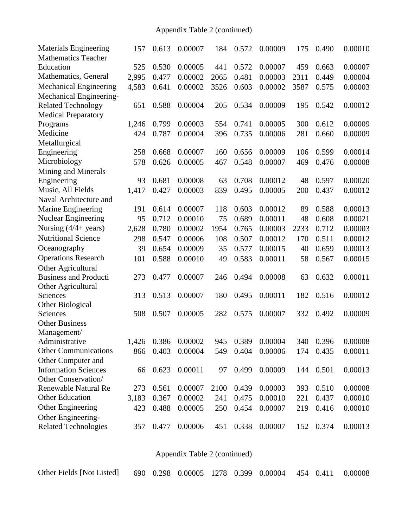# Appendix Table 2 (continued)

| <b>Materials Engineering</b>   | 157   | 0.613 | 0.00007             | 184  | 0.572 | 0.00009           | 175  | 0.490     | 0.00010 |
|--------------------------------|-------|-------|---------------------|------|-------|-------------------|------|-----------|---------|
| <b>Mathematics Teacher</b>     |       |       |                     |      |       |                   |      |           |         |
| Education                      | 525   | 0.530 | 0.00005             | 441  | 0.572 | 0.00007           | 459  | 0.663     | 0.00007 |
| Mathematics, General           | 2,995 | 0.477 | 0.00002             | 2065 | 0.481 | 0.00003           | 2311 | 0.449     | 0.00004 |
| <b>Mechanical Engineering</b>  | 4,583 | 0.641 | 0.00002             | 3526 | 0.603 | 0.00002           | 3587 | 0.575     | 0.00003 |
| Mechanical Engineering-        |       |       |                     |      |       |                   |      |           |         |
| <b>Related Technology</b>      | 651   | 0.588 | 0.00004             | 205  | 0.534 | 0.00009           | 195  | 0.542     | 0.00012 |
| <b>Medical Preparatory</b>     |       |       |                     |      |       |                   |      |           |         |
| Programs                       | 1,246 | 0.799 | 0.00003             | 554  | 0.741 | 0.00005           | 300  | 0.612     | 0.00009 |
| Medicine                       | 424   | 0.787 | 0.00004             | 396  | 0.735 | 0.00006           | 281  | 0.660     | 0.00009 |
| Metallurgical                  |       |       |                     |      |       |                   |      |           |         |
| Engineering                    | 258   | 0.668 | 0.00007             | 160  | 0.656 | 0.00009           | 106  | 0.599     | 0.00014 |
| Microbiology                   | 578   | 0.626 | 0.00005             | 467  | 0.548 | 0.00007           | 469  | 0.476     | 0.00008 |
| Mining and Minerals            |       |       |                     |      |       |                   |      |           |         |
| Engineering                    | 93    | 0.681 | 0.00008             | 63   | 0.708 | 0.00012           | 48   | 0.597     | 0.00020 |
| Music, All Fields              | 1,417 | 0.427 | 0.00003             | 839  | 0.495 | 0.00005           | 200  | 0.437     | 0.00012 |
| Naval Architecture and         |       |       |                     |      |       |                   |      |           |         |
| Marine Engineering             | 191   | 0.614 | 0.00007             | 118  | 0.603 | 0.00012           | 89   | 0.588     | 0.00013 |
| <b>Nuclear Engineering</b>     | 95    | 0.712 | 0.00010             | 75   | 0.689 | 0.00011           | 48   | 0.608     | 0.00021 |
| Nursing $(4/4 + \text{years})$ | 2,628 | 0.780 | 0.00002             | 1954 | 0.765 | 0.00003           | 2233 | 0.712     | 0.00003 |
| <b>Nutritional Science</b>     | 298   | 0.547 | 0.00006             | 108  | 0.507 | 0.00012           | 170  | 0.511     | 0.00012 |
| Oceanography                   | 39    | 0.654 | 0.00009             | 35   | 0.577 | 0.00015           | 40   | 0.659     | 0.00013 |
| <b>Operations Research</b>     | 101   | 0.588 | 0.00010             | 49   | 0.583 | 0.00011           | 58   | 0.567     | 0.00015 |
| Other Agricultural             |       |       |                     |      |       |                   |      |           |         |
| <b>Business and Producti</b>   | 273   | 0.477 | 0.00007             | 246  | 0.494 | 0.00008           | 63   | 0.632     | 0.00011 |
| Other Agricultural             |       |       |                     |      |       |                   |      |           |         |
| Sciences                       | 313   | 0.513 | 0.00007             | 180  | 0.495 | 0.00011           | 182  | 0.516     | 0.00012 |
| Other Biological               |       |       |                     |      |       |                   |      |           |         |
| Sciences                       | 508   | 0.507 | 0.00005             | 282  | 0.575 | 0.00007           | 332  | 0.492     | 0.00009 |
| <b>Other Business</b>          |       |       |                     |      |       |                   |      |           |         |
| Management/                    |       |       |                     |      |       |                   |      |           |         |
| Administrative                 |       |       | 1,426 0.386 0.00002 |      |       | 945 0.389 0.00004 |      | 340 0.396 | 0.00008 |
| <b>Other Communications</b>    | 866   | 0.403 | 0.00004             | 549  | 0.404 | 0.00006           | 174  | 0.435     | 0.00011 |
| Other Computer and             |       |       |                     |      |       |                   |      |           |         |
| <b>Information Sciences</b>    | 66    | 0.623 | 0.00011             | 97   | 0.499 | 0.00009           | 144  | 0.501     | 0.00013 |
| Other Conservation/            |       |       |                     |      |       |                   |      |           |         |
| <b>Renewable Natural Re</b>    | 273   | 0.561 | 0.00007             | 2100 | 0.439 | 0.00003           | 393  | 0.510     | 0.00008 |
| <b>Other Education</b>         | 3,183 | 0.367 | 0.00002             | 241  | 0.475 | 0.00010           | 221  | 0.437     | 0.00010 |
| Other Engineering              | 423   | 0.488 | 0.00005             | 250  | 0.454 | 0.00007           | 219  | 0.416     | 0.00010 |
| Other Engineering-             |       |       |                     |      |       |                   |      |           |         |
| <b>Related Technologies</b>    | 357   | 0.477 | 0.00006             | 451  | 0.338 | 0.00007           | 152  | 0.374     | 0.00013 |
|                                |       |       |                     |      |       |                   |      |           |         |

Appendix Table 2 (continued)

| Other Fields [Not Listed] 690 0.298 0.00005 1278 0.399 0.00004 454 0.411 0.00008 |  |  |  |  |  |  |  |  |  |
|----------------------------------------------------------------------------------|--|--|--|--|--|--|--|--|--|
|----------------------------------------------------------------------------------|--|--|--|--|--|--|--|--|--|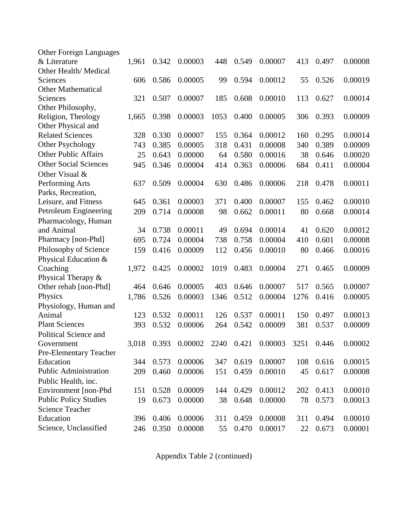| <b>Other Foreign Languages</b> |       |       |         |      |       |         |      |       |         |
|--------------------------------|-------|-------|---------|------|-------|---------|------|-------|---------|
| & Literature                   | 1,961 | 0.342 | 0.00003 | 448  | 0.549 | 0.00007 | 413  | 0.497 | 0.00008 |
| Other Health/Medical           |       |       |         |      |       |         |      |       |         |
| Sciences                       | 606   | 0.586 | 0.00005 | 99   | 0.594 | 0.00012 | 55   | 0.526 | 0.00019 |
| <b>Other Mathematical</b>      |       |       |         |      |       |         |      |       |         |
| Sciences                       | 321   | 0.507 | 0.00007 | 185  | 0.608 | 0.00010 | 113  | 0.627 | 0.00014 |
| Other Philosophy,              |       |       |         |      |       |         |      |       |         |
| Religion, Theology             | 1,665 | 0.398 | 0.00003 | 1053 | 0.400 | 0.00005 | 306  | 0.393 | 0.00009 |
| Other Physical and             |       |       |         |      |       |         |      |       |         |
| <b>Related Sciences</b>        | 328   | 0.330 | 0.00007 | 155  | 0.364 | 0.00012 | 160  | 0.295 | 0.00014 |
| Other Psychology               | 743   | 0.385 | 0.00005 | 318  | 0.431 | 0.00008 | 340  | 0.389 | 0.00009 |
| <b>Other Public Affairs</b>    | 25    | 0.643 | 0.00000 | 64   | 0.580 | 0.00016 | 38   | 0.646 | 0.00020 |
| <b>Other Social Sciences</b>   | 945   | 0.346 | 0.00004 | 414  | 0.363 | 0.00006 | 684  | 0.411 | 0.00004 |
| Other Visual &                 |       |       |         |      |       |         |      |       |         |
| Performing Arts                | 637   | 0.509 | 0.00004 | 630  | 0.486 | 0.00006 | 218  | 0.478 | 0.00011 |
| Parks, Recreation,             |       |       |         |      |       |         |      |       |         |
| Leisure, and Fitness           | 645   | 0.361 | 0.00003 | 371  | 0.400 | 0.00007 | 155  | 0.462 | 0.00010 |
| Petroleum Engineering          | 209   | 0.714 | 0.00008 | 98   | 0.662 | 0.00011 | 80   | 0.668 | 0.00014 |
| Pharmacology, Human            |       |       |         |      |       |         |      |       |         |
| and Animal                     | 34    | 0.738 | 0.00011 | 49   | 0.694 | 0.00014 | 41   | 0.620 | 0.00012 |
| Pharmacy [non-Phd]             | 695   | 0.724 | 0.00004 | 738  | 0.758 | 0.00004 | 410  | 0.601 | 0.00008 |
| Philosophy of Science          | 159   | 0.416 | 0.00009 | 112  | 0.456 | 0.00010 | 80   | 0.466 | 0.00016 |
| Physical Education &           |       |       |         |      |       |         |      |       |         |
| Coaching                       | 1,972 | 0.425 | 0.00002 | 1019 | 0.483 | 0.00004 | 271  | 0.465 | 0.00009 |
| Physical Therapy &             |       |       |         |      |       |         |      |       |         |
| Other rehab [non-Phd]          | 464   | 0.646 | 0.00005 | 403  | 0.646 | 0.00007 | 517  | 0.565 | 0.00007 |
| Physics                        | 1,786 | 0.526 | 0.00003 | 1346 | 0.512 | 0.00004 | 1276 | 0.416 | 0.00005 |
| Physiology, Human and          |       |       |         |      |       |         |      |       |         |
| Animal                         | 123   | 0.532 | 0.00011 | 126  | 0.537 | 0.00011 | 150  | 0.497 | 0.00013 |
| <b>Plant Sciences</b>          | 393   | 0.532 | 0.00006 | 264  | 0.542 | 0.00009 | 381  | 0.537 | 0.00009 |
| <b>Political Science and</b>   |       |       |         |      |       |         |      |       |         |
| Government                     | 3,018 | 0.393 | 0.00002 | 2240 | 0.421 | 0.00003 | 3251 | 0.446 | 0.00002 |
| <b>Pre-Elementary Teacher</b>  |       |       |         |      |       |         |      |       |         |
| Education                      | 344   | 0.573 | 0.00006 | 347  | 0.619 | 0.00007 | 108  | 0.616 | 0.00015 |
| <b>Public Administration</b>   | 209   | 0.460 | 0.00006 | 151  | 0.459 | 0.00010 | 45   | 0.617 | 0.00008 |
| Public Health, inc.            |       |       |         |      |       |         |      |       |         |
| Environment [non-Phd           | 151   | 0.528 | 0.00009 | 144  | 0.429 | 0.00012 | 202  | 0.413 | 0.00010 |
| <b>Public Policy Studies</b>   | 19    | 0.673 | 0.00000 | 38   | 0.648 | 0.00000 | 78   | 0.573 | 0.00013 |
| <b>Science Teacher</b>         |       |       |         |      |       |         |      |       |         |
| Education                      | 396   | 0.406 | 0.00006 | 311  | 0.459 | 0.00008 | 311  | 0.494 | 0.00010 |
| Science, Unclassified          | 246   | 0.350 | 0.00008 | 55   | 0.470 | 0.00017 | 22   | 0.673 | 0.00001 |

Appendix Table 2 (continued)